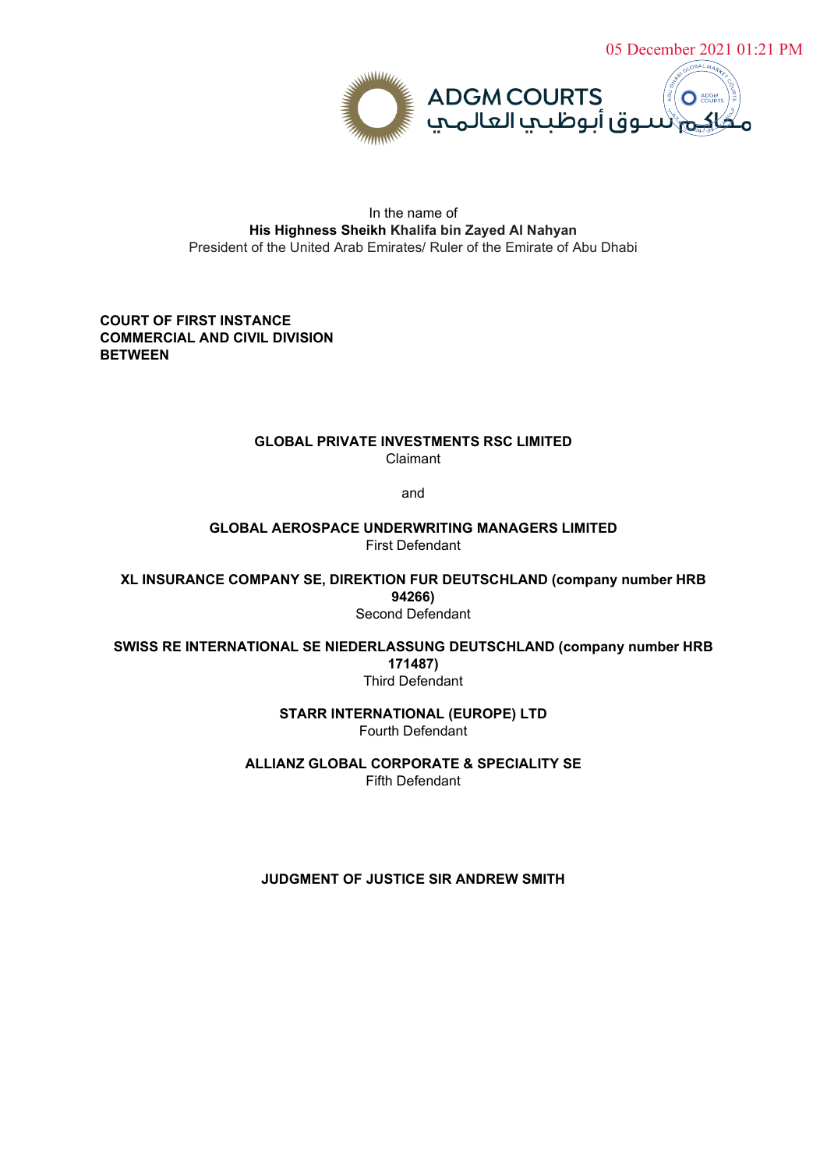

## In the name of **His Highness Sheikh Khalifa bin Zayed Al Nahyan** President of the United Arab Emirates/ Ruler of the Emirate of Abu Dhabi

# **COURT OF FIRST INSTANCE COMMERCIAL AND CIVIL DIVISION BETWEEN**

### **GLOBAL PRIVATE INVESTMENTS RSC LIMITED** Claimant

and

**GLOBAL AEROSPACE UNDERWRITING MANAGERS LIMITED** First Defendant

**XL INSURANCE COMPANY SE, DIREKTION FUR DEUTSCHLAND (company number HRB 94266)** Second Defendant

**SWISS RE INTERNATIONAL SE NIEDERLASSUNG DEUTSCHLAND (company number HRB 171487)** Third Defendant

> **STARR INTERNATIONAL (EUROPE) LTD** Fourth Defendant

**ALLIANZ GLOBAL CORPORATE & SPECIALITY SE** Fifth Defendant

**JUDGMENT OF JUSTICE SIR ANDREW SMITH**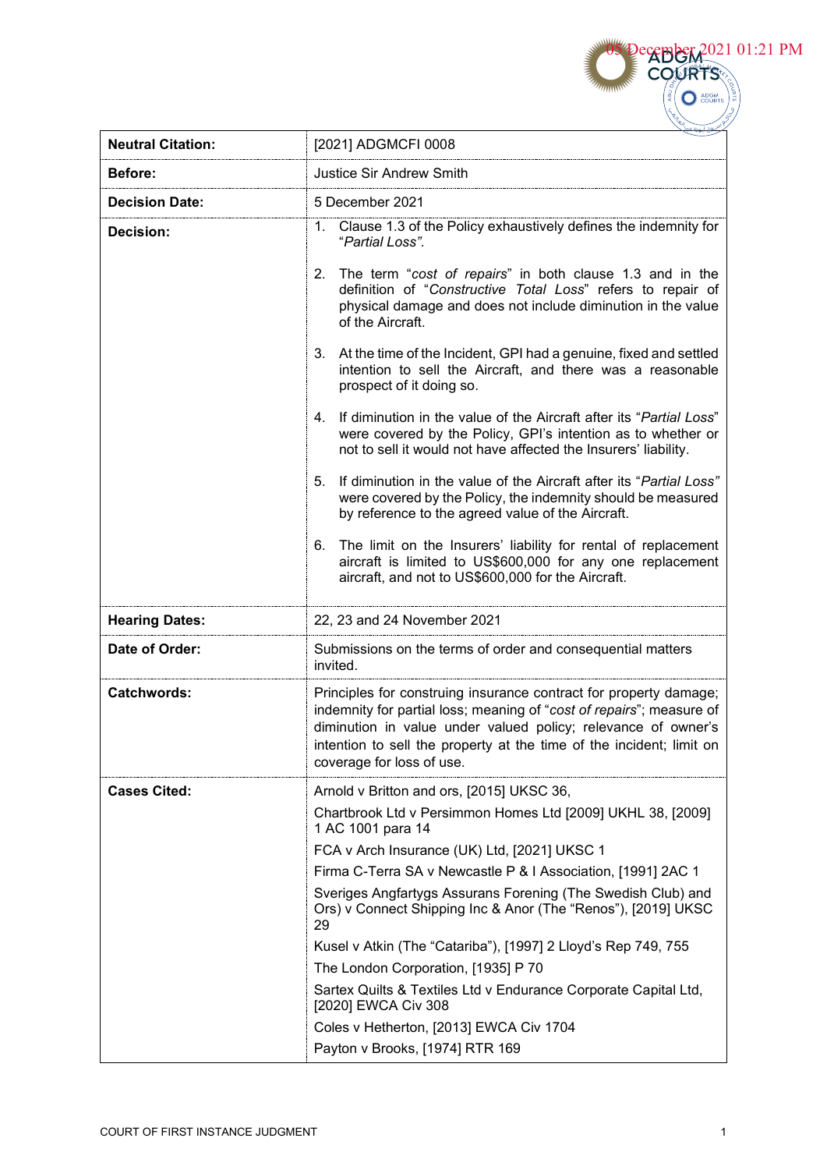**Neutral Citation: 12021] ADGMCFI 0008 Before: Justice Sir Andrew Smith Decision Date:** 5 December 2021 **Decision:** 1. Clause 1.3 of the Policy exhaustively defines the indemnity for "*Partial Loss".* 2. The term "*cost of repairs*" in both clause 1.3 and in the definition of "*Constructive Total Loss*" refers to repair of physical damage and does not include diminution in the value of the Aircraft. 3. At the time of the Incident, GPI had a genuine, fixed and settled intention to sell the Aircraft, and there was a reasonable prospect of it doing so. 4. If diminution in the value of the Aircraft after its "*Partial Loss*" were covered by the Policy, GPI's intention as to whether or not to sell it would not have affected the Insurers' liability. 5. If diminution in the value of the Aircraft after its "*Partial Loss"*  were covered by the Policy, the indemnity should be measured by reference to the agreed value of the Aircraft. 6. The limit on the Insurers' liability for rental of replacement aircraft is limited to US\$600,000 for any one replacement aircraft, and not to US\$600,000 for the Aircraft. **Hearing Dates:** 22, 23 and 24 November 2021 **Date of Order:** Submissions on the terms of order and consequential matters invited. **Catchwords: Principles for construing insurance contract for property damage;** indemnity for partial loss; meaning of "*cost of repairs*"; measure of diminution in value under valued policy; relevance of owner's intention to sell the property at the time of the incident; limit on coverage for loss of use. **Cases Cited:** Arnold v Britton and ors, [2015] UKSC 36, Chartbrook Ltd v Persimmon Homes Ltd [2009] UKHL 38, [2009] 1 AC 1001 para 14 FCA v Arch Insurance (UK) Ltd, [2021] UKSC 1 Firma C-Terra SA v Newcastle P & I Association, [1991] 2AC 1 Sveriges Angfartygs Assurans Forening (The Swedish Club) and Ors) v Connect Shipping Inc & Anor (The "Renos"), [2019] UKSC 29 Kusel v Atkin (The "Catariba"), [1997] 2 Lloyd's Rep 749, 755 The London Corporation, [1935] P 70 Sartex Quilts & Textiles Ltd v Endurance Corporate Capital Ltd, [2020] EWCA Civ 308 Coles v Hetherton, [2013] EWCA Civ 1704

Payton v Brooks, [1974] RTR 169

**CEBBER 2021 01:21 PM** 

 $\bigcirc$   $\overset{\text{ADGM}}{\text{COUR}}$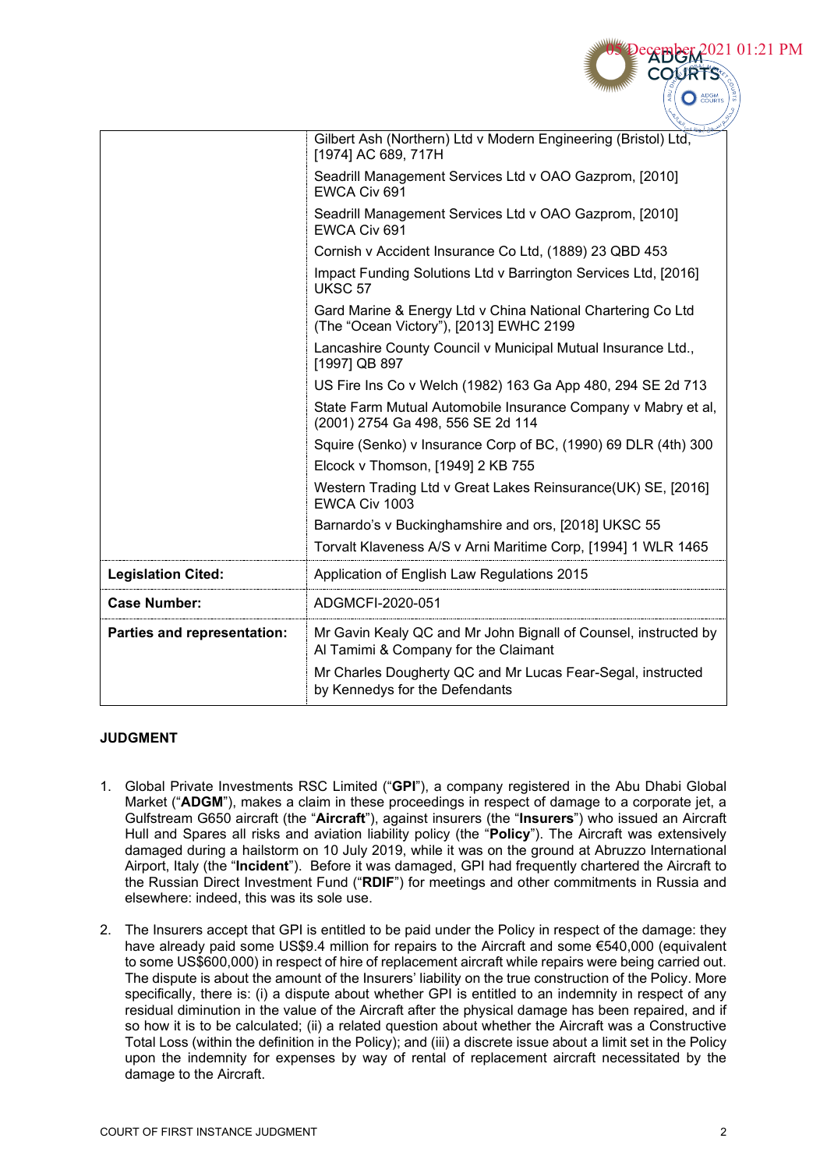|                             | Gilbert Ash (Northern) Ltd v Modern Engineering (Bristol) Ltd,<br>[1974] AC 689, 717H                   |
|-----------------------------|---------------------------------------------------------------------------------------------------------|
|                             | Seadrill Management Services Ltd v OAO Gazprom, [2010]<br>EWCA Civ 691                                  |
|                             | Seadrill Management Services Ltd v OAO Gazprom, [2010]<br>EWCA Civ 691                                  |
|                             | Cornish v Accident Insurance Co Ltd, (1889) 23 QBD 453                                                  |
|                             | Impact Funding Solutions Ltd v Barrington Services Ltd, [2016]<br>UKSC <sub>57</sub>                    |
|                             | Gard Marine & Energy Ltd v China National Chartering Co Ltd<br>(The "Ocean Victory"), [2013] EWHC 2199  |
|                             | Lancashire County Council v Municipal Mutual Insurance Ltd.,<br>[1997] QB 897                           |
|                             | US Fire Ins Co v Welch (1982) 163 Ga App 480, 294 SE 2d 713                                             |
|                             | State Farm Mutual Automobile Insurance Company v Mabry et al,<br>(2001) 2754 Ga 498, 556 SE 2d 114      |
|                             | Squire (Senko) v Insurance Corp of BC, (1990) 69 DLR (4th) 300                                          |
|                             | Elcock v Thomson, [1949] 2 KB 755                                                                       |
|                             | Western Trading Ltd v Great Lakes Reinsurance (UK) SE, [2016]<br>EWCA Civ 1003                          |
|                             | Barnardo's v Buckinghamshire and ors, [2018] UKSC 55                                                    |
|                             | Torvalt Klaveness A/S v Arni Maritime Corp, [1994] 1 WLR 1465                                           |
| <b>Legislation Cited:</b>   | Application of English Law Regulations 2015                                                             |
| <b>Case Number:</b>         | ADGMCFI-2020-051                                                                                        |
| Parties and representation: | Mr Gavin Kealy QC and Mr John Bignall of Counsel, instructed by<br>Al Tamimi & Company for the Claimant |
|                             | Mr Charles Dougherty QC and Mr Lucas Fear-Segal, instructed<br>by Kennedys for the Defendants           |

# **JUDGMENT**

- 1. Global Private Investments RSC Limited ("**GPI**"), a company registered in the Abu Dhabi Global Market ("**ADGM**"), makes a claim in these proceedings in respect of damage to a corporate jet, a Gulfstream G650 aircraft (the "**Aircraft**"), against insurers (the "**Insurers**") who issued an Aircraft Hull and Spares all risks and aviation liability policy (the "**Policy**"). The Aircraft was extensively damaged during a hailstorm on 10 July 2019, while it was on the ground at Abruzzo International Airport, Italy (the "**Incident**"). Before it was damaged, GPI had frequently chartered the Aircraft to the Russian Direct Investment Fund ("**RDIF**") for meetings and other commitments in Russia and elsewhere: indeed, this was its sole use.
- 2. The Insurers accept that GPI is entitled to be paid under the Policy in respect of the damage: they have already paid some US\$9.4 million for repairs to the Aircraft and some €540,000 (equivalent to some US\$600,000) in respect of hire of replacement aircraft while repairs were being carried out. The dispute is about the amount of the Insurers' liability on the true construction of the Policy. More specifically, there is: (i) a dispute about whether GPI is entitled to an indemnity in respect of any residual diminution in the value of the Aircraft after the physical damage has been repaired, and if so how it is to be calculated; (ii) a related question about whether the Aircraft was a Constructive Total Loss (within the definition in the Policy); and (iii) a discrete issue about a limit set in the Policy upon the indemnity for expenses by way of rental of replacement aircraft necessitated by the damage to the Aircraft.

**CEBBER 2021 01:21 PM**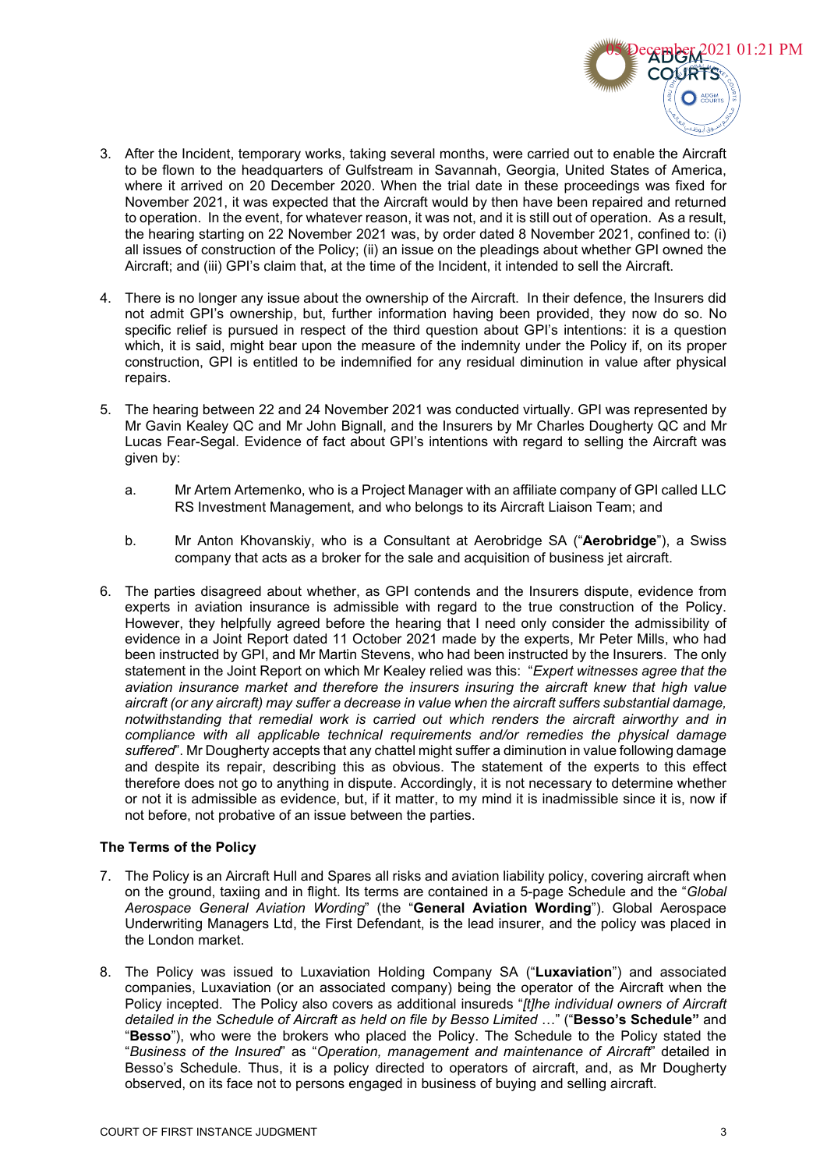

- 3. After the Incident, temporary works, taking several months, were carried out to enable the Aircraft to be flown to the headquarters of Gulfstream in Savannah, Georgia, United States of America, where it arrived on 20 December 2020. When the trial date in these proceedings was fixed for November 2021, it was expected that the Aircraft would by then have been repaired and returned to operation. In the event, for whatever reason, it was not, and it is still out of operation. As a result, the hearing starting on 22 November 2021 was, by order dated 8 November 2021, confined to: (i) all issues of construction of the Policy; (ii) an issue on the pleadings about whether GPI owned the Aircraft; and (iii) GPI's claim that, at the time of the Incident, it intended to sell the Aircraft.
- 4. There is no longer any issue about the ownership of the Aircraft. In their defence, the Insurers did not admit GPI's ownership, but, further information having been provided, they now do so. No specific relief is pursued in respect of the third question about GPI's intentions: it is a question which, it is said, might bear upon the measure of the indemnity under the Policy if, on its proper construction, GPI is entitled to be indemnified for any residual diminution in value after physical repairs.
- 5. The hearing between 22 and 24 November 2021 was conducted virtually. GPI was represented by Mr Gavin Kealey QC and Mr John Bignall, and the Insurers by Mr Charles Dougherty QC and Mr Lucas Fear-Segal. Evidence of fact about GPI's intentions with regard to selling the Aircraft was given by:
	- a. Mr Artem Artemenko, who is a Project Manager with an affiliate company of GPI called LLC RS Investment Management, and who belongs to its Aircraft Liaison Team; and
	- b. Mr Anton Khovanskiy, who is a Consultant at Aerobridge SA ("**Aerobridge**"), a Swiss company that acts as a broker for the sale and acquisition of business jet aircraft.
- 6. The parties disagreed about whether, as GPI contends and the Insurers dispute, evidence from experts in aviation insurance is admissible with regard to the true construction of the Policy. However, they helpfully agreed before the hearing that I need only consider the admissibility of evidence in a Joint Report dated 11 October 2021 made by the experts, Mr Peter Mills, who had been instructed by GPI, and Mr Martin Stevens, who had been instructed by the Insurers. The only statement in the Joint Report on which Mr Kealey relied was this: "*Expert witnesses agree that the aviation insurance market and therefore the insurers insuring the aircraft knew that high value aircraft (or any aircraft) may suffer a decrease in value when the aircraft suffers substantial damage, notwithstanding that remedial work is carried out which renders the aircraft airworthy and in compliance with all applicable technical requirements and/or remedies the physical damage suffered*". Mr Dougherty accepts that any chattel might suffer a diminution in value following damage and despite its repair, describing this as obvious. The statement of the experts to this effect therefore does not go to anything in dispute. Accordingly, it is not necessary to determine whether or not it is admissible as evidence, but, if it matter, to my mind it is inadmissible since it is, now if not before, not probative of an issue between the parties.

# **The Terms of the Policy**

- 7. The Policy is an Aircraft Hull and Spares all risks and aviation liability policy, covering aircraft when on the ground, taxiing and in flight. Its terms are contained in a 5-page Schedule and the "*Global Aerospace General Aviation Wording*" (the "**General Aviation Wording**"). Global Aerospace Underwriting Managers Ltd, the First Defendant, is the lead insurer, and the policy was placed in the London market.
- 8. The Policy was issued to Luxaviation Holding Company SA ("**Luxaviation**") and associated companies, Luxaviation (or an associated company) being the operator of the Aircraft when the Policy incepted. The Policy also covers as additional insureds "*[t]he individual owners of Aircraft detailed in the Schedule of Aircraft as held on file by Besso Limited* …" ("**Besso's Schedule"** and "**Besso**"), who were the brokers who placed the Policy. The Schedule to the Policy stated the "*Business of the Insured*" as "*Operation, management and maintenance of Aircraft*" detailed in Besso's Schedule. Thus, it is a policy directed to operators of aircraft, and, as Mr Dougherty observed, on its face not to persons engaged in business of buying and selling aircraft.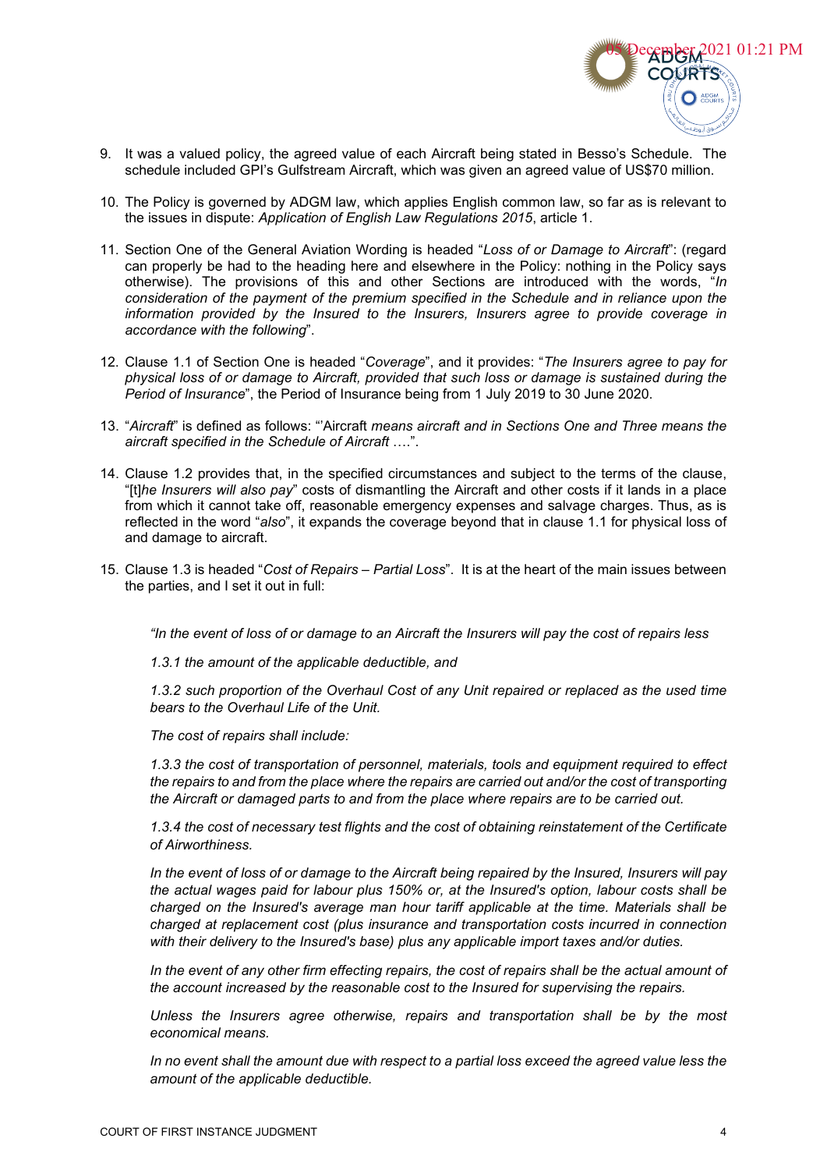

- 9. It was a valued policy, the agreed value of each Aircraft being stated in Besso's Schedule. The schedule included GPI's Gulfstream Aircraft, which was given an agreed value of US\$70 million.
- 10. The Policy is governed by ADGM law, which applies English common law, so far as is relevant to the issues in dispute: *Application of English Law Regulations 2015*, article 1.
- 11. Section One of the General Aviation Wording is headed "*Loss of or Damage to Aircraft*": (regard can properly be had to the heading here and elsewhere in the Policy: nothing in the Policy says otherwise). The provisions of this and other Sections are introduced with the words, "*In consideration of the payment of the premium specified in the Schedule and in reliance upon the information provided by the Insured to the Insurers, Insurers agree to provide coverage in accordance with the following*".
- 12. Clause 1.1 of Section One is headed "*Coverage*", and it provides: "*The Insurers agree to pay for physical loss of or damage to Aircraft, provided that such loss or damage is sustained during the Period of Insurance*", the Period of Insurance being from 1 July 2019 to 30 June 2020.
- 13. "*Aircraft*" is defined as follows: "'Aircraft *means aircraft and in Sections One and Three means the aircraft specified in the Schedule of Aircraft* ….".
- 14. Clause 1.2 provides that, in the specified circumstances and subject to the terms of the clause, "[t]*he Insurers will also pay*" costs of dismantling the Aircraft and other costs if it lands in a place from which it cannot take off, reasonable emergency expenses and salvage charges. Thus, as is reflected in the word "*also*", it expands the coverage beyond that in clause 1.1 for physical loss of and damage to aircraft.
- 15. Clause 1.3 is headed "*Cost of Repairs – Partial Loss*". It is at the heart of the main issues between the parties, and I set it out in full:

*"In the event of loss of or damage to an Aircraft the Insurers will pay the cost of repairs less* 

*1.3.1 the amount of the applicable deductible, and* 

*1.3.2 such proportion of the Overhaul Cost of any Unit repaired or replaced as the used time bears to the Overhaul Life of the Unit.* 

*The cost of repairs shall include:* 

*1.3.3 the cost of transportation of personnel, materials, tools and equipment required to effect the repairs to and from the place where the repairs are carried out and/or the cost of transporting the Aircraft or damaged parts to and from the place where repairs are to be carried out.* 

*1.3.4 the cost of necessary test flights and the cost of obtaining reinstatement of the Certificate of Airworthiness.* 

*In the event of loss of or damage to the Aircraft being repaired by the Insured, Insurers will pay the actual wages paid for labour plus 150% or, at the Insured's option, labour costs shall be charged on the Insured's average man hour tariff applicable at the time. Materials shall be charged at replacement cost (plus insurance and transportation costs incurred in connection with their delivery to the Insured's base) plus any applicable import taxes and/or duties.* 

*In the event of any other firm effecting repairs, the cost of repairs shall be the actual amount of the account increased by the reasonable cost to the Insured for supervising the repairs.* 

*Unless the Insurers agree otherwise, repairs and transportation shall be by the most economical means.* 

*In no event shall the amount due with respect to a partial loss exceed the agreed value less the amount of the applicable deductible.*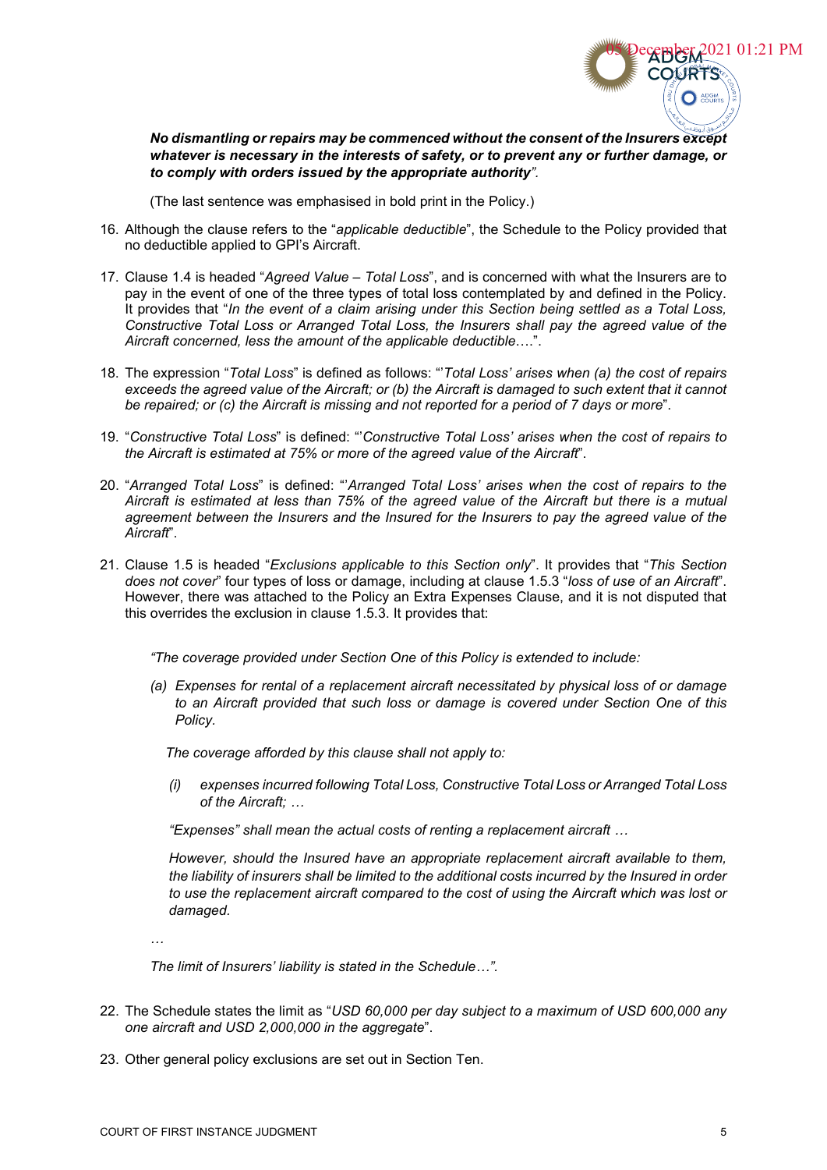

*No dismantling or repairs may be commenced without the consent of the Insurers except whatever is necessary in the interests of safety, or to prevent any or further damage, or to comply with orders issued by the appropriate authority".* 

(The last sentence was emphasised in bold print in the Policy.)

- 16. Although the clause refers to the "*applicable deductible*", the Schedule to the Policy provided that no deductible applied to GPI's Aircraft.
- 17. Clause 1.4 is headed "*Agreed Value – Total Loss*", and is concerned with what the Insurers are to pay in the event of one of the three types of total loss contemplated by and defined in the Policy. It provides that "*In the event of a claim arising under this Section being settled as a Total Loss, Constructive Total Loss or Arranged Total Loss, the Insurers shall pay the agreed value of the Aircraft concerned, less the amount of the applicable deductible*….".
- 18. The expression "*Total Loss*" is defined as follows: "'*Total Loss' arises when (a) the cost of repairs exceeds the agreed value of the Aircraft; or (b) the Aircraft is damaged to such extent that it cannot be repaired; or (c) the Aircraft is missing and not reported for a period of 7 days or more*".
- 19. "*Constructive Total Loss*" is defined: "'*Constructive Total Loss' arises when the cost of repairs to the Aircraft is estimated at 75% or more of the agreed value of the Aircraft*".
- 20. "*Arranged Total Loss*" is defined: "'*Arranged Total Loss' arises when the cost of repairs to the Aircraft is estimated at less than 75% of the agreed value of the Aircraft but there is a mutual agreement between the Insurers and the Insured for the Insurers to pay the agreed value of the Aircraft*".
- 21. Clause 1.5 is headed "*Exclusions applicable to this Section only*". It provides that "*This Section does not cover*" four types of loss or damage, including at clause 1.5.3 "*loss of use of an Aircraft*". However, there was attached to the Policy an Extra Expenses Clause, and it is not disputed that this overrides the exclusion in clause 1.5.3. It provides that:

*"The coverage provided under Section One of this Policy is extended to include:* 

*(a) Expenses for rental of a replacement aircraft necessitated by physical loss of or damage to an Aircraft provided that such loss or damage is covered under Section One of this Policy.*

 *The coverage afforded by this clause shall not apply to:*

*(i) expenses incurred following Total Loss, Constructive Total Loss or Arranged Total Loss of the Aircraft; …*

*"Expenses" shall mean the actual costs of renting a replacement aircraft …* 

*However, should the Insured have an appropriate replacement aircraft available to them, the liability of insurers shall be limited to the additional costs incurred by the Insured in order to use the replacement aircraft compared to the cost of using the Aircraft which was lost or damaged.* 

*…*

*The limit of Insurers' liability is stated in the Schedule…".*

- 22. The Schedule states the limit as "*USD 60,000 per day subject to a maximum of USD 600,000 any one aircraft and USD 2,000,000 in the aggregate*".
- 23. Other general policy exclusions are set out in Section Ten.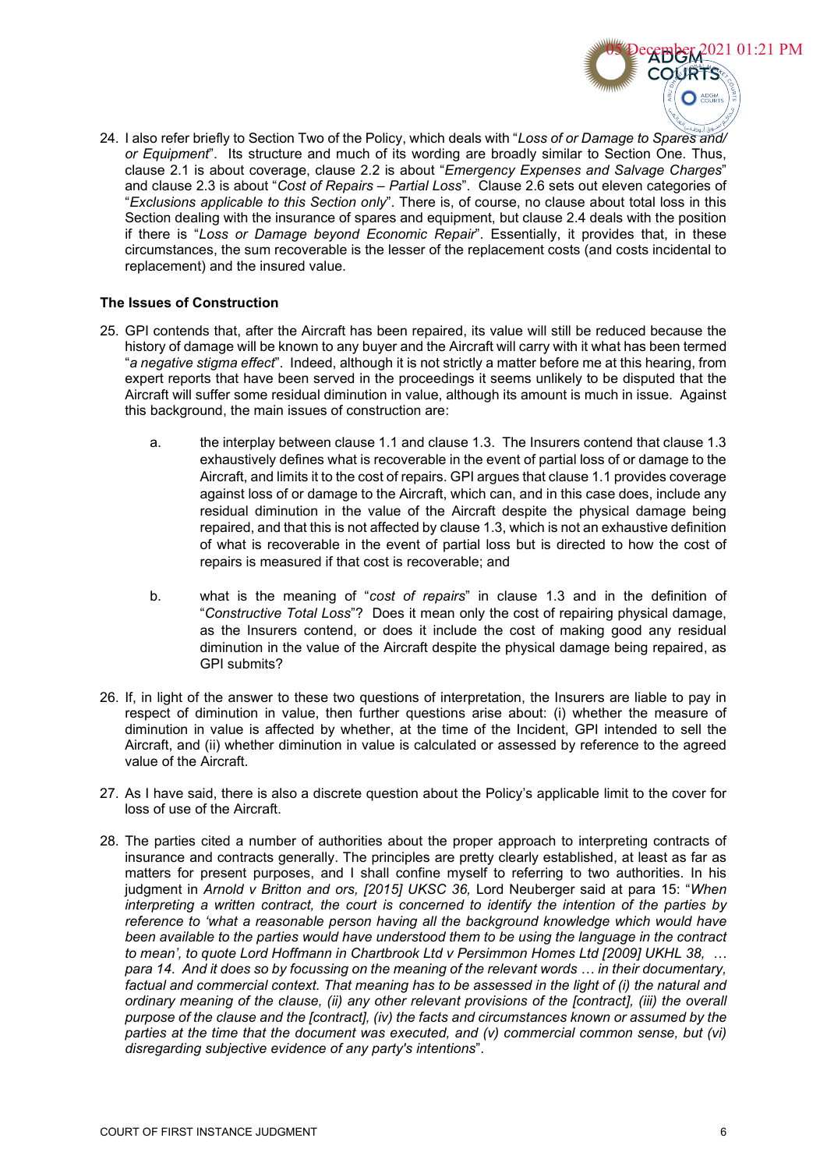

24. I also refer briefly to Section Two of the Policy, which deals with "*Loss of or Damage to Spares and/ or Equipment*". Its structure and much of its wording are broadly similar to Section One. Thus, clause 2.1 is about coverage, clause 2.2 is about "*Emergency Expenses and Salvage Charges*" and clause 2.3 is about "*Cost of Repairs – Partial Loss*". Clause 2.6 sets out eleven categories of "*Exclusions applicable to this Section only*". There is, of course, no clause about total loss in this Section dealing with the insurance of spares and equipment, but clause 2.4 deals with the position if there is "*Loss or Damage beyond Economic Repair*". Essentially, it provides that, in these circumstances, the sum recoverable is the lesser of the replacement costs (and costs incidental to replacement) and the insured value.

# **The Issues of Construction**

- 25. GPI contends that, after the Aircraft has been repaired, its value will still be reduced because the history of damage will be known to any buyer and the Aircraft will carry with it what has been termed "*a negative stigma effect*". Indeed, although it is not strictly a matter before me at this hearing, from expert reports that have been served in the proceedings it seems unlikely to be disputed that the Aircraft will suffer some residual diminution in value, although its amount is much in issue. Against this background, the main issues of construction are:
	- a. the interplay between clause 1.1 and clause 1.3. The Insurers contend that clause 1.3 exhaustively defines what is recoverable in the event of partial loss of or damage to the Aircraft, and limits it to the cost of repairs. GPI argues that clause 1.1 provides coverage against loss of or damage to the Aircraft, which can, and in this case does, include any residual diminution in the value of the Aircraft despite the physical damage being repaired, and that this is not affected by clause 1.3, which is not an exhaustive definition of what is recoverable in the event of partial loss but is directed to how the cost of repairs is measured if that cost is recoverable; and
	- b. what is the meaning of "*cost of repairs*" in clause 1.3 and in the definition of "*Constructive Total Loss*"? Does it mean only the cost of repairing physical damage, as the Insurers contend, or does it include the cost of making good any residual diminution in the value of the Aircraft despite the physical damage being repaired, as GPI submits?
- 26. If, in light of the answer to these two questions of interpretation, the Insurers are liable to pay in respect of diminution in value, then further questions arise about: (i) whether the measure of diminution in value is affected by whether, at the time of the Incident, GPI intended to sell the Aircraft, and (ii) whether diminution in value is calculated or assessed by reference to the agreed value of the Aircraft.
- 27. As I have said, there is also a discrete question about the Policy's applicable limit to the cover for loss of use of the Aircraft.
- 28. The parties cited a number of authorities about the proper approach to interpreting contracts of insurance and contracts generally. The principles are pretty clearly established, at least as far as matters for present purposes, and I shall confine myself to referring to two authorities. In his judgment in *Arnold v Britton and ors, [2015] UKSC 36,* Lord Neuberger said at para 15: "*When interpreting a written contract, the court is concerned to identify the intention of the parties by reference to 'what a reasonable person having all the background knowledge which would have been available to the parties would have understood them to be using the language in the contract to mean', to quote Lord Hoffmann in Chartbrook Ltd v Persimmon Homes Ltd [2009] UKHL 38, … para 14*. *And it does so by focussing on the meaning of the relevant words … in their documentary, factual and commercial context. That meaning has to be assessed in the light of (i) the natural and ordinary meaning of the clause, (ii) any other relevant provisions of the [contract], (iii) the overall purpose of the clause and the [contract], (iv) the facts and circumstances known or assumed by the parties at the time that the document was executed, and (v) commercial common sense, but (vi) disregarding subjective evidence of any party's intentions*".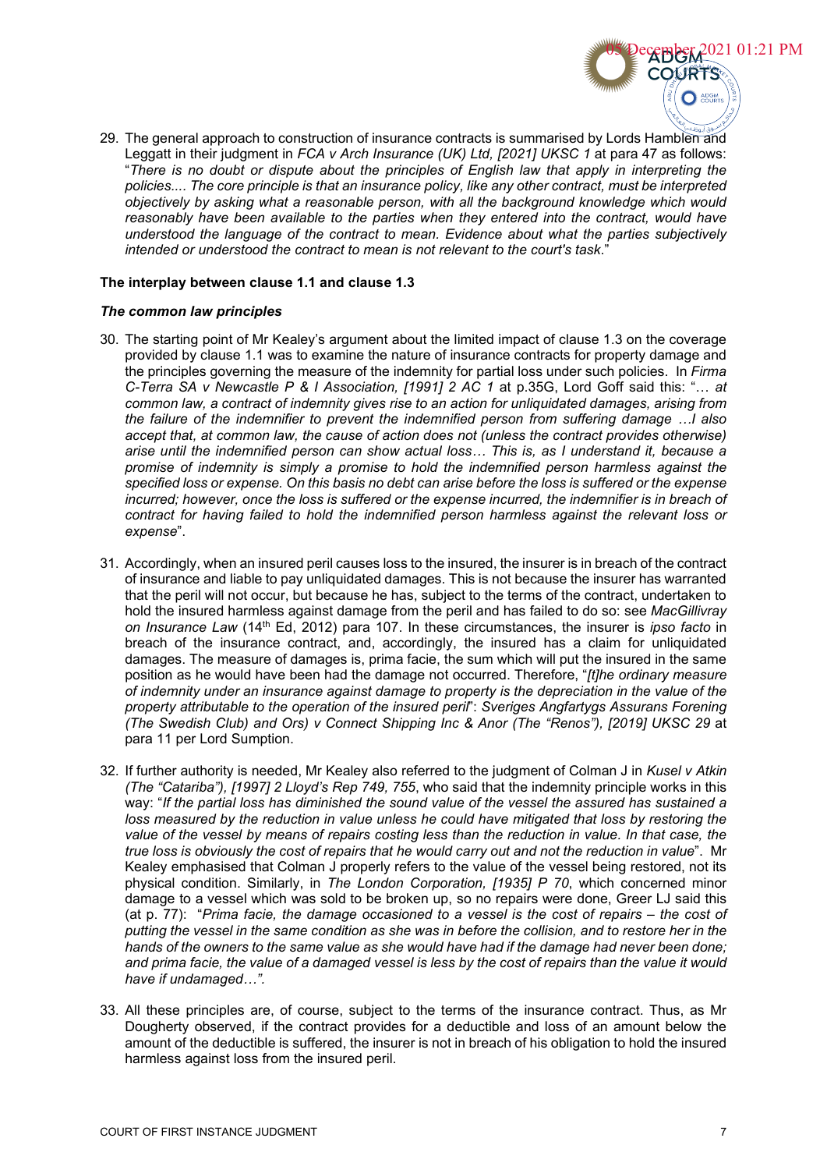

29. The general approach to construction of insurance contracts is summarised by Lords Hamblen and Leggatt in their judgment in *FCA v Arch Insurance (UK) Ltd, [2021] UKSC 1* at para 47 as follows: "*There is no doubt or dispute about the principles of English law that apply in interpreting the policies.... The core principle is that an insurance policy, like any other contract, must be interpreted objectively by asking what a reasonable person, with all the background knowledge which would reasonably have been available to the parties when they entered into the contract, would have understood the language of the contract to mean. Evidence about what the parties subjectively intended or understood the contract to mean is not relevant to the court's task*."

## **The interplay between clause 1.1 and clause 1.3**

### *The common law principles*

- 30. The starting point of Mr Kealey's argument about the limited impact of clause 1.3 on the coverage provided by clause 1.1 was to examine the nature of insurance contracts for property damage and the principles governing the measure of the indemnity for partial loss under such policies. In *Firma C-Terra SA v Newcastle P & I Association, [1991] 2 AC 1* at p.35G, Lord Goff said this: "… *at common law, a contract of indemnity gives rise to an action for unliquidated damages, arising from the failure of the indemnifier to prevent the indemnified person from suffering damage …I also accept that, at common law, the cause of action does not (unless the contract provides otherwise) arise until the indemnified person can show actual loss… This is, as I understand it, because a promise of indemnity is simply a promise to hold the indemnified person harmless against the specified loss or expense. On this basis no debt can arise before the loss is suffered or the expense incurred; however, once the loss is suffered or the expense incurred, the indemnifier is in breach of contract for having failed to hold the indemnified person harmless against the relevant loss or expense*".
- 31. Accordingly, when an insured peril causes loss to the insured, the insurer is in breach of the contract of insurance and liable to pay unliquidated damages. This is not because the insurer has warranted that the peril will not occur, but because he has, subject to the terms of the contract, undertaken to hold the insured harmless against damage from the peril and has failed to do so: see *MacGillivray on Insurance Law* (14th Ed, 2012) para 107. In these circumstances, the insurer is *ipso facto* in breach of the insurance contract, and, accordingly, the insured has a claim for unliquidated damages. The measure of damages is, prima facie, the sum which will put the insured in the same position as he would have been had the damage not occurred. Therefore, "*[t]he ordinary measure of indemnity under an insurance against damage to property is the depreciation in the value of the property attributable to the operation of the insured peril*": *Sveriges Angfartygs Assurans Forening (The Swedish Club) and Ors) v Connect Shipping Inc & Anor (The "Renos"), [2019] UKSC 29* at para 11 per Lord Sumption.
- 32. If further authority is needed, Mr Kealey also referred to the judgment of Colman J in *Kusel v Atkin (The "Catariba"), [1997] 2 Lloyd's Rep 749, 755*, who said that the indemnity principle works in this way: "*If the partial loss has diminished the sound value of the vessel the assured has sustained a*  loss measured by the reduction in value unless he could have mitigated that loss by restoring the *value of the vessel by means of repairs costing less than the reduction in value. In that case, the true loss is obviously the cost of repairs that he would carry out and not the reduction in value*". Mr Kealey emphasised that Colman J properly refers to the value of the vessel being restored, not its physical condition. Similarly, in *The London Corporation, [1935] P 70*, which concerned minor damage to a vessel which was sold to be broken up, so no repairs were done, Greer LJ said this (at p. 77): "*Prima facie, the damage occasioned to a vessel is the cost of repairs – the cost of putting the vessel in the same condition as she was in before the collision, and to restore her in the hands of the owners to the same value as she would have had if the damage had never been done; and prima facie, the value of a damaged vessel is less by the cost of repairs than the value it would have if undamaged…".*
- 33. All these principles are, of course, subject to the terms of the insurance contract. Thus, as Mr Dougherty observed, if the contract provides for a deductible and loss of an amount below the amount of the deductible is suffered, the insurer is not in breach of his obligation to hold the insured harmless against loss from the insured peril.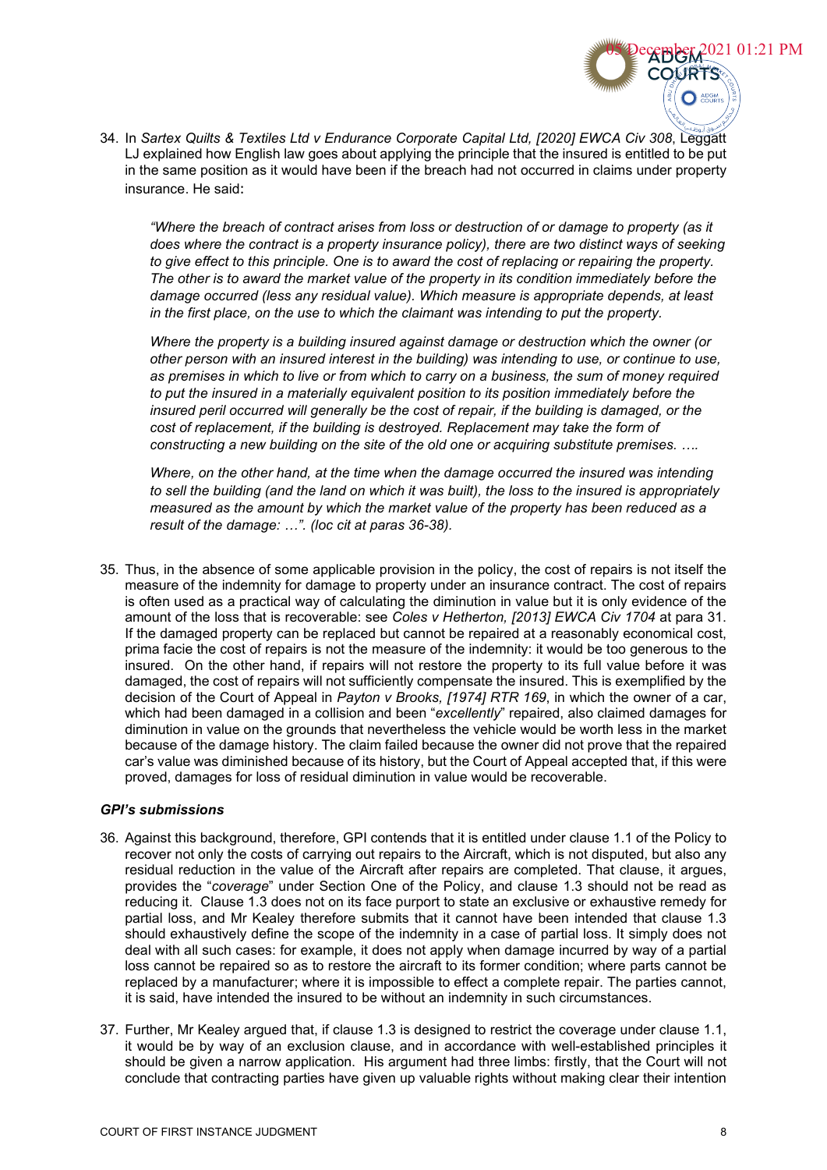34. In *Sartex Quilts & Textiles Ltd v Endurance Corporate Capital Ltd, [2020] EWCA Civ 308*, Leggatt LJ explained how English law goes about applying the principle that the insured is entitled to be put in the same position as it would have been if the breach had not occurred in claims under property insurance. He said:

*"Where the breach of contract arises from loss or destruction of or damage to property (as it does where the contract is a property insurance policy), there are two distinct ways of seeking to give effect to this principle. One is to award the cost of replacing or repairing the property. The other is to award the market value of the property in its condition immediately before the damage occurred (less any residual value). Which measure is appropriate depends, at least in the first place, on the use to which the claimant was intending to put the property.*

*Where the property is a building insured against damage or destruction which the owner (or other person with an insured interest in the building) was intending to use, or continue to use, as premises in which to live or from which to carry on a business, the sum of money required to put the insured in a materially equivalent position to its position immediately before the insured peril occurred will generally be the cost of repair, if the building is damaged, or the cost of replacement, if the building is destroyed. Replacement may take the form of constructing a new building on the site of the old one or acquiring substitute premises. ….* 

*Where, on the other hand, at the time when the damage occurred the insured was intending to sell the building (and the land on which it was built), the loss to the insured is appropriately measured as the amount by which the market value of the property has been reduced as a result of the damage: …". (loc cit at paras 36-38).* 

35. Thus, in the absence of some applicable provision in the policy, the cost of repairs is not itself the measure of the indemnity for damage to property under an insurance contract. The cost of repairs is often used as a practical way of calculating the diminution in value but it is only evidence of the amount of the loss that is recoverable: see *Coles v Hetherton, [2013] EWCA Civ 1704* at para 31. If the damaged property can be replaced but cannot be repaired at a reasonably economical cost, prima facie the cost of repairs is not the measure of the indemnity: it would be too generous to the insured. On the other hand, if repairs will not restore the property to its full value before it was damaged, the cost of repairs will not sufficiently compensate the insured. This is exemplified by the decision of the Court of Appeal in *Payton v Brooks, [1974] RTR 169*, in which the owner of a car, which had been damaged in a collision and been "*excellently*" repaired, also claimed damages for diminution in value on the grounds that nevertheless the vehicle would be worth less in the market because of the damage history. The claim failed because the owner did not prove that the repaired car's value was diminished because of its history, but the Court of Appeal accepted that, if this were proved, damages for loss of residual diminution in value would be recoverable.

#### *GPI's submissions*

- 36. Against this background, therefore, GPI contends that it is entitled under clause 1.1 of the Policy to recover not only the costs of carrying out repairs to the Aircraft, which is not disputed, but also any residual reduction in the value of the Aircraft after repairs are completed. That clause, it argues, provides the "*coverage*" under Section One of the Policy, and clause 1.3 should not be read as reducing it. Clause 1.3 does not on its face purport to state an exclusive or exhaustive remedy for partial loss, and Mr Kealey therefore submits that it cannot have been intended that clause 1.3 should exhaustively define the scope of the indemnity in a case of partial loss. It simply does not deal with all such cases: for example, it does not apply when damage incurred by way of a partial loss cannot be repaired so as to restore the aircraft to its former condition; where parts cannot be replaced by a manufacturer; where it is impossible to effect a complete repair. The parties cannot, it is said, have intended the insured to be without an indemnity in such circumstances.
- 37. Further, Mr Kealey argued that, if clause 1.3 is designed to restrict the coverage under clause 1.1, it would be by way of an exclusion clause, and in accordance with well-established principles it should be given a narrow application. His argument had three limbs: firstly, that the Court will not conclude that contracting parties have given up valuable rights without making clear their intention

2021 01:21 PM

 $\bigcap$   $\bigcap_{\text{COLB}}$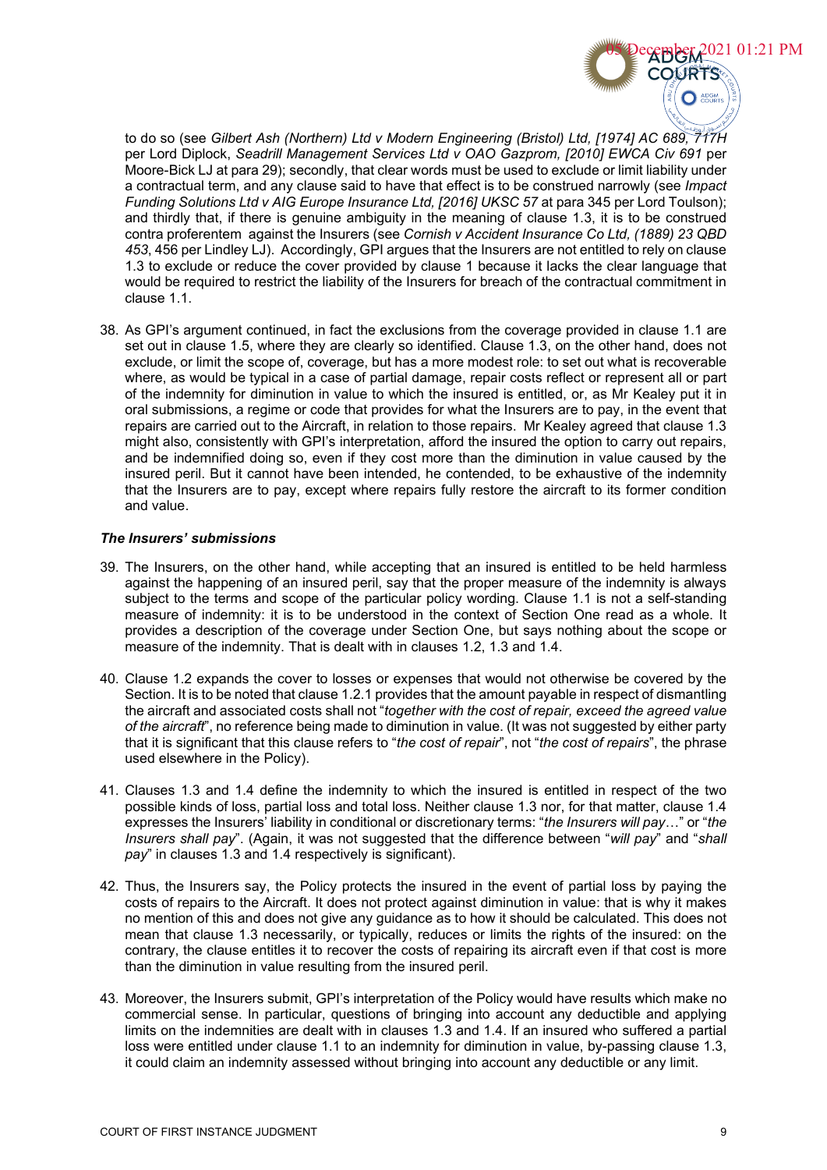

to do so (see *Gilbert Ash (Northern) Ltd v Modern Engineering (Bristol) Ltd, [1974] AC 689, 717H*  per Lord Diplock, *Seadrill Management Services Ltd v OAO Gazprom, [2010] EWCA Civ 691* per Moore-Bick LJ at para 29); secondly, that clear words must be used to exclude or limit liability under a contractual term, and any clause said to have that effect is to be construed narrowly (see *Impact Funding Solutions Ltd v AIG Europe Insurance Ltd, [2016] UKSC 57* at para 345 per Lord Toulson); and thirdly that, if there is genuine ambiguity in the meaning of clause 1.3, it is to be construed contra proferentem against the Insurers (see *Cornish v Accident Insurance Co Ltd, (1889) 23 QBD 453*, 456 per Lindley LJ). Accordingly, GPI argues that the Insurers are not entitled to rely on clause 1.3 to exclude or reduce the cover provided by clause 1 because it lacks the clear language that would be required to restrict the liability of the Insurers for breach of the contractual commitment in clause 1.1.

38. As GPI's argument continued, in fact the exclusions from the coverage provided in clause 1.1 are set out in clause 1.5, where they are clearly so identified. Clause 1.3, on the other hand, does not exclude, or limit the scope of, coverage, but has a more modest role: to set out what is recoverable where, as would be typical in a case of partial damage, repair costs reflect or represent all or part of the indemnity for diminution in value to which the insured is entitled, or, as Mr Kealey put it in oral submissions, a regime or code that provides for what the Insurers are to pay, in the event that repairs are carried out to the Aircraft, in relation to those repairs. Mr Kealey agreed that clause 1.3 might also, consistently with GPI's interpretation, afford the insured the option to carry out repairs, and be indemnified doing so, even if they cost more than the diminution in value caused by the insured peril. But it cannot have been intended, he contended, to be exhaustive of the indemnity that the Insurers are to pay, except where repairs fully restore the aircraft to its former condition and value.

## *The Insurers' submissions*

- 39. The Insurers, on the other hand, while accepting that an insured is entitled to be held harmless against the happening of an insured peril, say that the proper measure of the indemnity is always subject to the terms and scope of the particular policy wording. Clause 1.1 is not a self-standing measure of indemnity: it is to be understood in the context of Section One read as a whole. It provides a description of the coverage under Section One, but says nothing about the scope or measure of the indemnity. That is dealt with in clauses 1.2, 1.3 and 1.4.
- 40. Clause 1.2 expands the cover to losses or expenses that would not otherwise be covered by the Section. It is to be noted that clause 1.2.1 provides that the amount payable in respect of dismantling the aircraft and associated costs shall not "*together with the cost of repair, exceed the agreed value of the aircraft*", no reference being made to diminution in value. (It was not suggested by either party that it is significant that this clause refers to "*the cost of repair*", not "*the cost of repairs*", the phrase used elsewhere in the Policy).
- 41. Clauses 1.3 and 1.4 define the indemnity to which the insured is entitled in respect of the two possible kinds of loss, partial loss and total loss. Neither clause 1.3 nor, for that matter, clause 1.4 expresses the Insurers' liability in conditional or discretionary terms: "*the Insurers will pay*…" or "*the Insurers shall pay*". (Again, it was not suggested that the difference between "*will pay*" and "*shall pay*" in clauses 1.3 and 1.4 respectively is significant).
- 42. Thus, the Insurers say, the Policy protects the insured in the event of partial loss by paying the costs of repairs to the Aircraft. It does not protect against diminution in value: that is why it makes no mention of this and does not give any guidance as to how it should be calculated. This does not mean that clause 1.3 necessarily, or typically, reduces or limits the rights of the insured: on the contrary, the clause entitles it to recover the costs of repairing its aircraft even if that cost is more than the diminution in value resulting from the insured peril.
- 43. Moreover, the Insurers submit, GPI's interpretation of the Policy would have results which make no commercial sense. In particular, questions of bringing into account any deductible and applying limits on the indemnities are dealt with in clauses 1.3 and 1.4. If an insured who suffered a partial loss were entitled under clause 1.1 to an indemnity for diminution in value, by-passing clause 1.3, it could claim an indemnity assessed without bringing into account any deductible or any limit.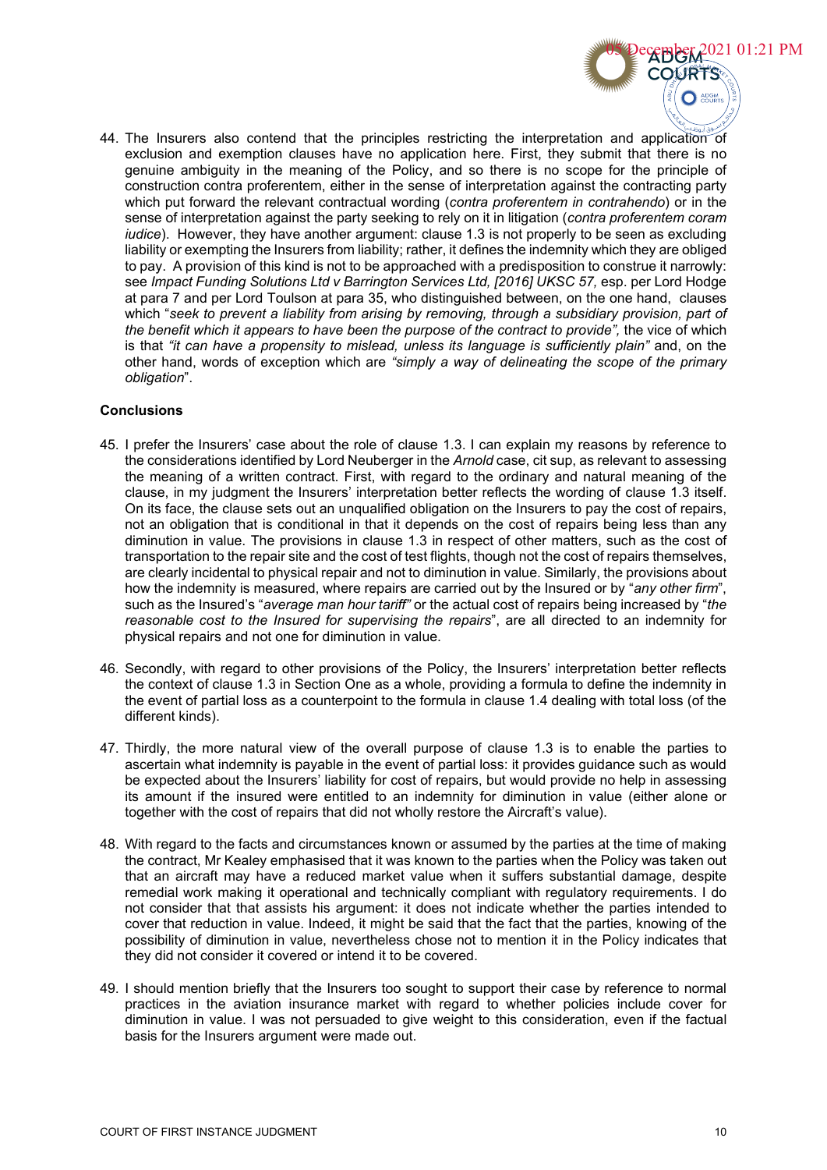

44. The Insurers also contend that the principles restricting the interpretation and application of exclusion and exemption clauses have no application here. First, they submit that there is no genuine ambiguity in the meaning of the Policy, and so there is no scope for the principle of construction contra proferentem, either in the sense of interpretation against the contracting party which put forward the relevant contractual wording (*contra proferentem in contrahendo*) or in the sense of interpretation against the party seeking to rely on it in litigation (*contra proferentem coram iudice*). However, they have another argument: clause 1.3 is not properly to be seen as excluding liability or exempting the Insurers from liability; rather, it defines the indemnity which they are obliged to pay. A provision of this kind is not to be approached with a predisposition to construe it narrowly: see *Impact Funding Solutions Ltd v Barrington Services Ltd, [2016] UKSC 57,* esp. per Lord Hodge at para 7 and per Lord Toulson at para 35, who distinguished between, on the one hand, clauses which "*seek to prevent a liability from arising by removing, through a subsidiary provision, part of the benefit which it appears to have been the purpose of the contract to provide",* the vice of which is that *"it can have a propensity to mislead, unless its language is sufficiently plain"* and, on the other hand, words of exception which are *"simply a way of delineating the scope of the primary obligation*".

## **Conclusions**

- 45. I prefer the Insurers' case about the role of clause 1.3. I can explain my reasons by reference to the considerations identified by Lord Neuberger in the *Arnold* case, cit sup, as relevant to assessing the meaning of a written contract. First, with regard to the ordinary and natural meaning of the clause, in my judgment the Insurers' interpretation better reflects the wording of clause 1.3 itself. On its face, the clause sets out an unqualified obligation on the Insurers to pay the cost of repairs, not an obligation that is conditional in that it depends on the cost of repairs being less than any diminution in value. The provisions in clause 1.3 in respect of other matters, such as the cost of transportation to the repair site and the cost of test flights, though not the cost of repairs themselves, are clearly incidental to physical repair and not to diminution in value. Similarly, the provisions about how the indemnity is measured, where repairs are carried out by the Insured or by "*any other firm*", such as the Insured's "*average man hour tariff"* or the actual cost of repairs being increased by "*the reasonable cost to the Insured for supervising the repairs*", are all directed to an indemnity for physical repairs and not one for diminution in value.
- 46. Secondly, with regard to other provisions of the Policy, the Insurers' interpretation better reflects the context of clause 1.3 in Section One as a whole, providing a formula to define the indemnity in the event of partial loss as a counterpoint to the formula in clause 1.4 dealing with total loss (of the different kinds).
- 47. Thirdly, the more natural view of the overall purpose of clause 1.3 is to enable the parties to ascertain what indemnity is payable in the event of partial loss: it provides guidance such as would be expected about the Insurers' liability for cost of repairs, but would provide no help in assessing its amount if the insured were entitled to an indemnity for diminution in value (either alone or together with the cost of repairs that did not wholly restore the Aircraft's value).
- 48. With regard to the facts and circumstances known or assumed by the parties at the time of making the contract, Mr Kealey emphasised that it was known to the parties when the Policy was taken out that an aircraft may have a reduced market value when it suffers substantial damage, despite remedial work making it operational and technically compliant with regulatory requirements. I do not consider that that assists his argument: it does not indicate whether the parties intended to cover that reduction in value. Indeed, it might be said that the fact that the parties, knowing of the possibility of diminution in value, nevertheless chose not to mention it in the Policy indicates that they did not consider it covered or intend it to be covered.
- 49. I should mention briefly that the Insurers too sought to support their case by reference to normal practices in the aviation insurance market with regard to whether policies include cover for diminution in value. I was not persuaded to give weight to this consideration, even if the factual basis for the Insurers argument were made out.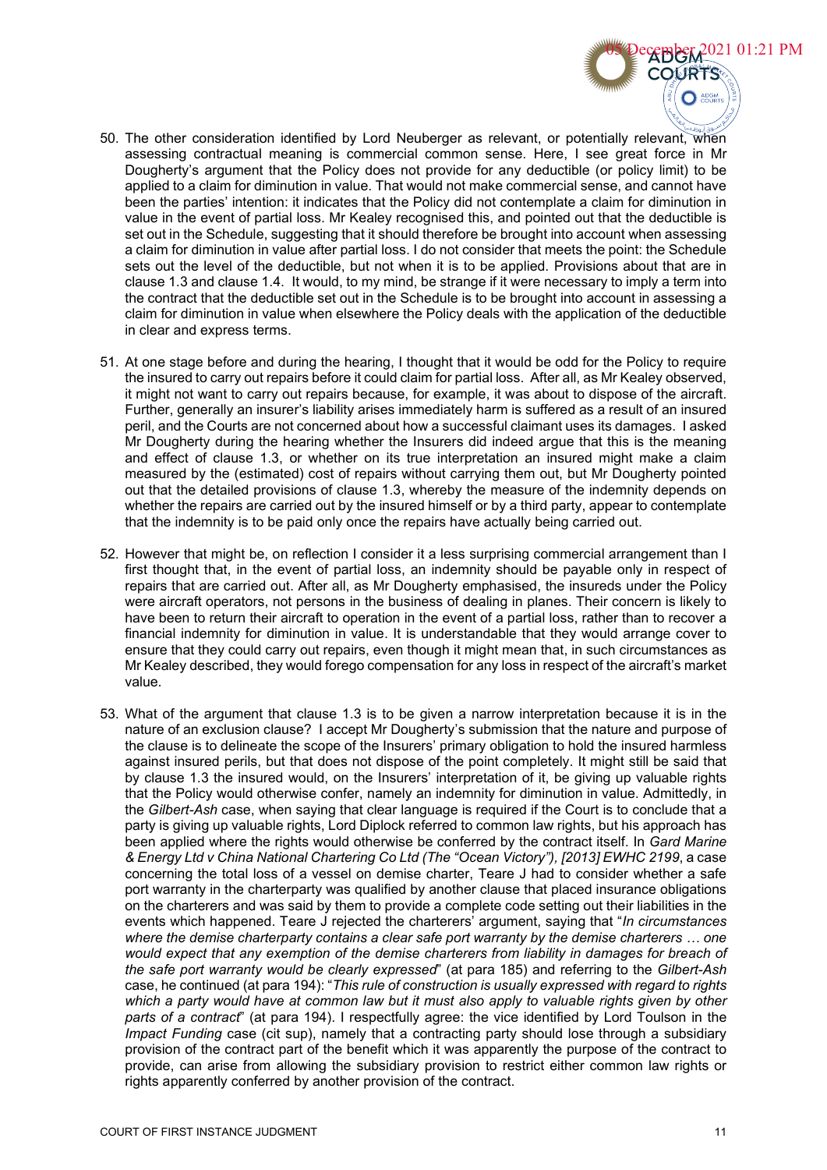

- 50. The other consideration identified by Lord Neuberger as relevant, or potentially relevant, when assessing contractual meaning is commercial common sense. Here, I see great force in Mr Dougherty's argument that the Policy does not provide for any deductible (or policy limit) to be applied to a claim for diminution in value. That would not make commercial sense, and cannot have been the parties' intention: it indicates that the Policy did not contemplate a claim for diminution in value in the event of partial loss. Mr Kealey recognised this, and pointed out that the deductible is set out in the Schedule, suggesting that it should therefore be brought into account when assessing a claim for diminution in value after partial loss. I do not consider that meets the point: the Schedule sets out the level of the deductible, but not when it is to be applied. Provisions about that are in clause 1.3 and clause 1.4. It would, to my mind, be strange if it were necessary to imply a term into the contract that the deductible set out in the Schedule is to be brought into account in assessing a claim for diminution in value when elsewhere the Policy deals with the application of the deductible in clear and express terms.
- 51. At one stage before and during the hearing, I thought that it would be odd for the Policy to require the insured to carry out repairs before it could claim for partial loss. After all, as Mr Kealey observed, it might not want to carry out repairs because, for example, it was about to dispose of the aircraft. Further, generally an insurer's liability arises immediately harm is suffered as a result of an insured peril, and the Courts are not concerned about how a successful claimant uses its damages. I asked Mr Dougherty during the hearing whether the Insurers did indeed argue that this is the meaning and effect of clause 1.3, or whether on its true interpretation an insured might make a claim measured by the (estimated) cost of repairs without carrying them out, but Mr Dougherty pointed out that the detailed provisions of clause 1.3, whereby the measure of the indemnity depends on whether the repairs are carried out by the insured himself or by a third party, appear to contemplate that the indemnity is to be paid only once the repairs have actually being carried out.
- 52. However that might be, on reflection I consider it a less surprising commercial arrangement than I first thought that, in the event of partial loss, an indemnity should be payable only in respect of repairs that are carried out. After all, as Mr Dougherty emphasised, the insureds under the Policy were aircraft operators, not persons in the business of dealing in planes. Their concern is likely to have been to return their aircraft to operation in the event of a partial loss, rather than to recover a financial indemnity for diminution in value. It is understandable that they would arrange cover to ensure that they could carry out repairs, even though it might mean that, in such circumstances as Mr Kealey described, they would forego compensation for any loss in respect of the aircraft's market value.
- 53. What of the argument that clause 1.3 is to be given a narrow interpretation because it is in the nature of an exclusion clause? I accept Mr Dougherty's submission that the nature and purpose of the clause is to delineate the scope of the Insurers' primary obligation to hold the insured harmless against insured perils, but that does not dispose of the point completely. It might still be said that by clause 1.3 the insured would, on the Insurers' interpretation of it, be giving up valuable rights that the Policy would otherwise confer, namely an indemnity for diminution in value. Admittedly, in the *Gilbert-Ash* case, when saying that clear language is required if the Court is to conclude that a party is giving up valuable rights, Lord Diplock referred to common law rights, but his approach has been applied where the rights would otherwise be conferred by the contract itself. In *Gard Marine & Energy Ltd v China National Chartering Co Ltd (The "Ocean Victory"), [2013] EWHC 2199*, a case concerning the total loss of a vessel on demise charter, Teare J had to consider whether a safe port warranty in the charterparty was qualified by another clause that placed insurance obligations on the charterers and was said by them to provide a complete code setting out their liabilities in the events which happened. Teare J rejected the charterers' argument, saying that "*In circumstances where the demise charterparty contains a clear safe port warranty by the demise charterers … one*  would expect that any exemption of the demise charterers from liability in damages for breach of *the safe port warranty would be clearly expressed*" (at para 185) and referring to the *Gilbert-Ash* case, he continued (at para 194): "*This rule of construction is usually expressed with regard to rights which a party would have at common law but it must also apply to valuable rights given by other parts of a contract*" (at para 194). I respectfully agree: the vice identified by Lord Toulson in the *Impact Funding* case (cit sup), namely that a contracting party should lose through a subsidiary provision of the contract part of the benefit which it was apparently the purpose of the contract to provide, can arise from allowing the subsidiary provision to restrict either common law rights or rights apparently conferred by another provision of the contract.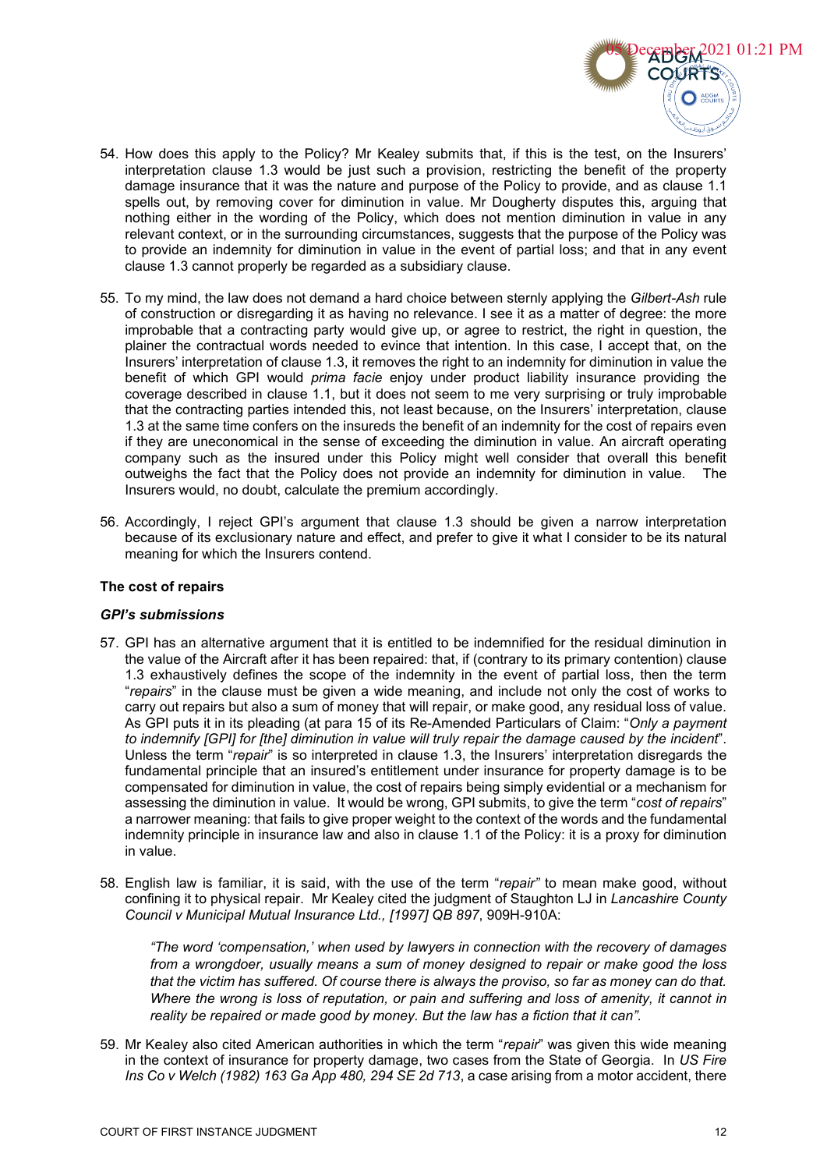

- 54. How does this apply to the Policy? Mr Kealey submits that, if this is the test, on the Insurers' interpretation clause 1.3 would be just such a provision, restricting the benefit of the property damage insurance that it was the nature and purpose of the Policy to provide, and as clause 1.1 spells out, by removing cover for diminution in value. Mr Dougherty disputes this, arguing that nothing either in the wording of the Policy, which does not mention diminution in value in any relevant context, or in the surrounding circumstances, suggests that the purpose of the Policy was to provide an indemnity for diminution in value in the event of partial loss; and that in any event clause 1.3 cannot properly be regarded as a subsidiary clause.
- 55. To my mind, the law does not demand a hard choice between sternly applying the *Gilbert-Ash* rule of construction or disregarding it as having no relevance. I see it as a matter of degree: the more improbable that a contracting party would give up, or agree to restrict, the right in question, the plainer the contractual words needed to evince that intention. In this case, I accept that, on the Insurers' interpretation of clause 1.3, it removes the right to an indemnity for diminution in value the benefit of which GPI would *prima facie* enjoy under product liability insurance providing the coverage described in clause 1.1, but it does not seem to me very surprising or truly improbable that the contracting parties intended this, not least because, on the Insurers' interpretation, clause 1.3 at the same time confers on the insureds the benefit of an indemnity for the cost of repairs even if they are uneconomical in the sense of exceeding the diminution in value. An aircraft operating company such as the insured under this Policy might well consider that overall this benefit outweighs the fact that the Policy does not provide an indemnity for diminution in value. The Insurers would, no doubt, calculate the premium accordingly.
- 56. Accordingly, I reject GPI's argument that clause 1.3 should be given a narrow interpretation because of its exclusionary nature and effect, and prefer to give it what I consider to be its natural meaning for which the Insurers contend.

#### **The cost of repairs**

#### *GPI's submissions*

- 57. GPI has an alternative argument that it is entitled to be indemnified for the residual diminution in the value of the Aircraft after it has been repaired: that, if (contrary to its primary contention) clause 1.3 exhaustively defines the scope of the indemnity in the event of partial loss, then the term "*repairs*" in the clause must be given a wide meaning, and include not only the cost of works to carry out repairs but also a sum of money that will repair, or make good, any residual loss of value. As GPI puts it in its pleading (at para 15 of its Re-Amended Particulars of Claim: "*Only a payment to indemnify [GPI] for [the] diminution in value will truly repair the damage caused by the incident*". Unless the term "*repair*" is so interpreted in clause 1.3, the Insurers' interpretation disregards the fundamental principle that an insured's entitlement under insurance for property damage is to be compensated for diminution in value, the cost of repairs being simply evidential or a mechanism for assessing the diminution in value. It would be wrong, GPI submits, to give the term "*cost of repairs*" a narrower meaning: that fails to give proper weight to the context of the words and the fundamental indemnity principle in insurance law and also in clause 1.1 of the Policy: it is a proxy for diminution in value.
- 58. English law is familiar, it is said, with the use of the term "*repair"* to mean make good, without confining it to physical repair. Mr Kealey cited the judgment of Staughton LJ in *Lancashire County Council v Municipal Mutual Insurance Ltd., [1997] QB 897*, 909H-910A:

*"The word 'compensation,' when used by lawyers in connection with the recovery of damages from a wrongdoer, usually means a sum of money designed to repair or make good the loss that the victim has suffered. Of course there is always the proviso, so far as money can do that. Where the wrong is loss of reputation, or pain and suffering and loss of amenity, it cannot in reality be repaired or made good by money. But the law has a fiction that it can".* 

59. Mr Kealey also cited American authorities in which the term "*repair*" was given this wide meaning in the context of insurance for property damage, two cases from the State of Georgia. In *US Fire Ins Co v Welch (1982) 163 Ga App 480, 294 SE 2d 713*, a case arising from a motor accident, there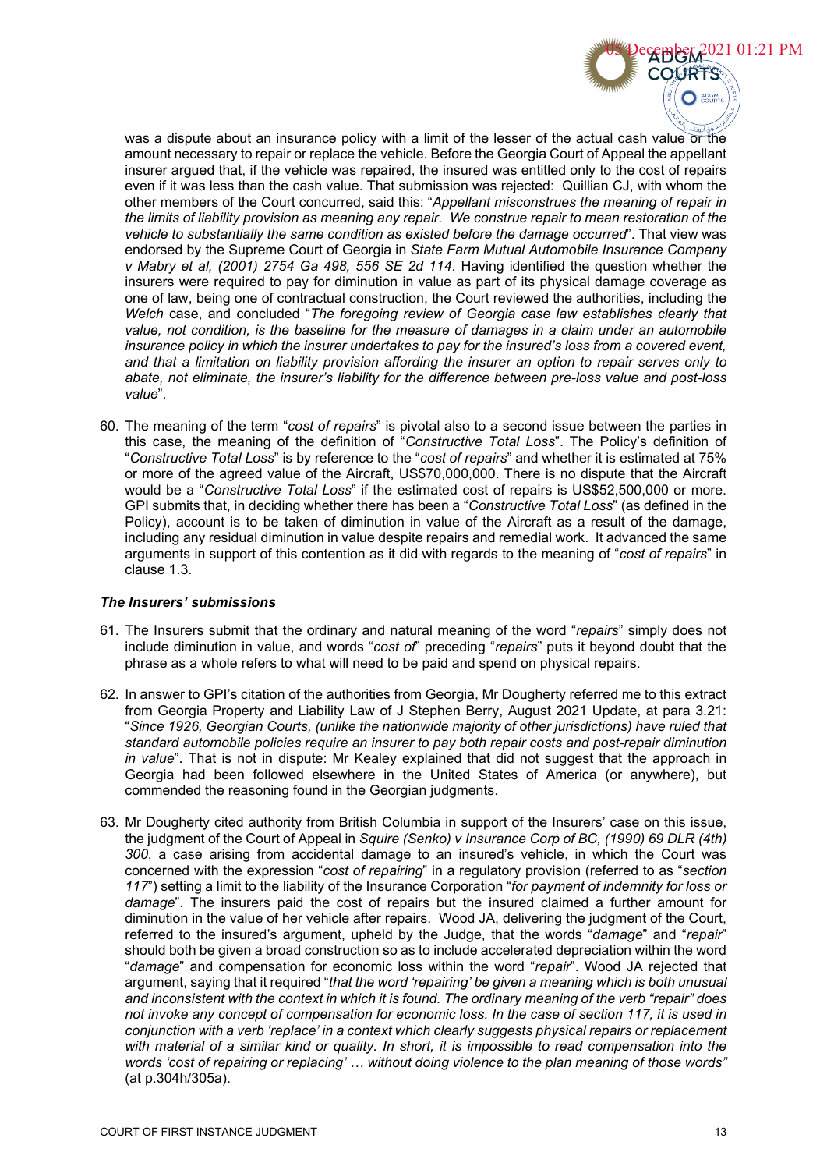

was a dispute about an insurance policy with a limit of the lesser of the actual cash value or the amount necessary to repair or replace the vehicle. Before the Georgia Court of Appeal the appellant insurer argued that, if the vehicle was repaired, the insured was entitled only to the cost of repairs even if it was less than the cash value. That submission was rejected: Quillian CJ, with whom the other members of the Court concurred, said this: "*Appellant misconstrues the meaning of repair in the limits of liability provision as meaning any repair. We construe repair to mean restoration of the vehicle to substantially the same condition as existed before the damage occurred*". That view was endorsed by the Supreme Court of Georgia in *State Farm Mutual Automobile Insurance Company v Mabry et al, (2001) 2754 Ga 498, 556 SE 2d 114*. Having identified the question whether the insurers were required to pay for diminution in value as part of its physical damage coverage as one of law, being one of contractual construction, the Court reviewed the authorities, including the *Welch* case, and concluded "*The foregoing review of Georgia case law establishes clearly that value, not condition, is the baseline for the measure of damages in a claim under an automobile insurance policy in which the insurer undertakes to pay for the insured's loss from a covered event, and that a limitation on liability provision affording the insurer an option to repair serves only to abate, not eliminate, the insurer's liability for the difference between pre-loss value and post-loss value*".

60. The meaning of the term "*cost of repairs*" is pivotal also to a second issue between the parties in this case, the meaning of the definition of "*Constructive Total Loss*". The Policy's definition of "*Constructive Total Loss*" is by reference to the "*cost of repairs*" and whether it is estimated at 75% or more of the agreed value of the Aircraft, US\$70,000,000. There is no dispute that the Aircraft would be a "*Constructive Total Loss*" if the estimated cost of repairs is US\$52,500,000 or more. GPI submits that, in deciding whether there has been a "*Constructive Total Loss*" (as defined in the Policy), account is to be taken of diminution in value of the Aircraft as a result of the damage, including any residual diminution in value despite repairs and remedial work. It advanced the same arguments in support of this contention as it did with regards to the meaning of "*cost of repairs*" in clause 1.3.

### *The Insurers' submissions*

- 61. The Insurers submit that the ordinary and natural meaning of the word "*repairs*" simply does not include diminution in value, and words "*cost of*" preceding "*repairs*" puts it beyond doubt that the phrase as a whole refers to what will need to be paid and spend on physical repairs.
- 62. In answer to GPI's citation of the authorities from Georgia, Mr Dougherty referred me to this extract from Georgia Property and Liability Law of J Stephen Berry, August 2021 Update, at para 3.21: "*Since 1926, Georgian Courts, (unlike the nationwide majority of other jurisdictions) have ruled that standard automobile policies require an insurer to pay both repair costs and post-repair diminution in value*". That is not in dispute: Mr Kealey explained that did not suggest that the approach in Georgia had been followed elsewhere in the United States of America (or anywhere), but commended the reasoning found in the Georgian judgments.
- 63. Mr Dougherty cited authority from British Columbia in support of the Insurers' case on this issue, the judgment of the Court of Appeal in *Squire (Senko) v Insurance Corp of BC, (1990) 69 DLR (4th) 300*, a case arising from accidental damage to an insured's vehicle, in which the Court was concerned with the expression "*cost of repairing*" in a regulatory provision (referred to as "*section 117*") setting a limit to the liability of the Insurance Corporation "*for payment of indemnity for loss or damage*". The insurers paid the cost of repairs but the insured claimed a further amount for diminution in the value of her vehicle after repairs. Wood JA, delivering the judgment of the Court, referred to the insured's argument, upheld by the Judge, that the words "*damage*" and "*repair*" should both be given a broad construction so as to include accelerated depreciation within the word "*damage*" and compensation for economic loss within the word "*repair*". Wood JA rejected that argument, saying that it required "*that the word 'repairing' be given a meaning which is both unusual and inconsistent with the context in which it is found. The ordinary meaning of the verb "repair" does not invoke any concept of compensation for economic loss. In the case of section 117, it is used in conjunction with a verb 'replace' in a context which clearly suggests physical repairs or replacement with material of a similar kind or quality. In short, it is impossible to read compensation into the words 'cost of repairing or replacing' … without doing violence to the plan meaning of those words"* (at p.304h/305a).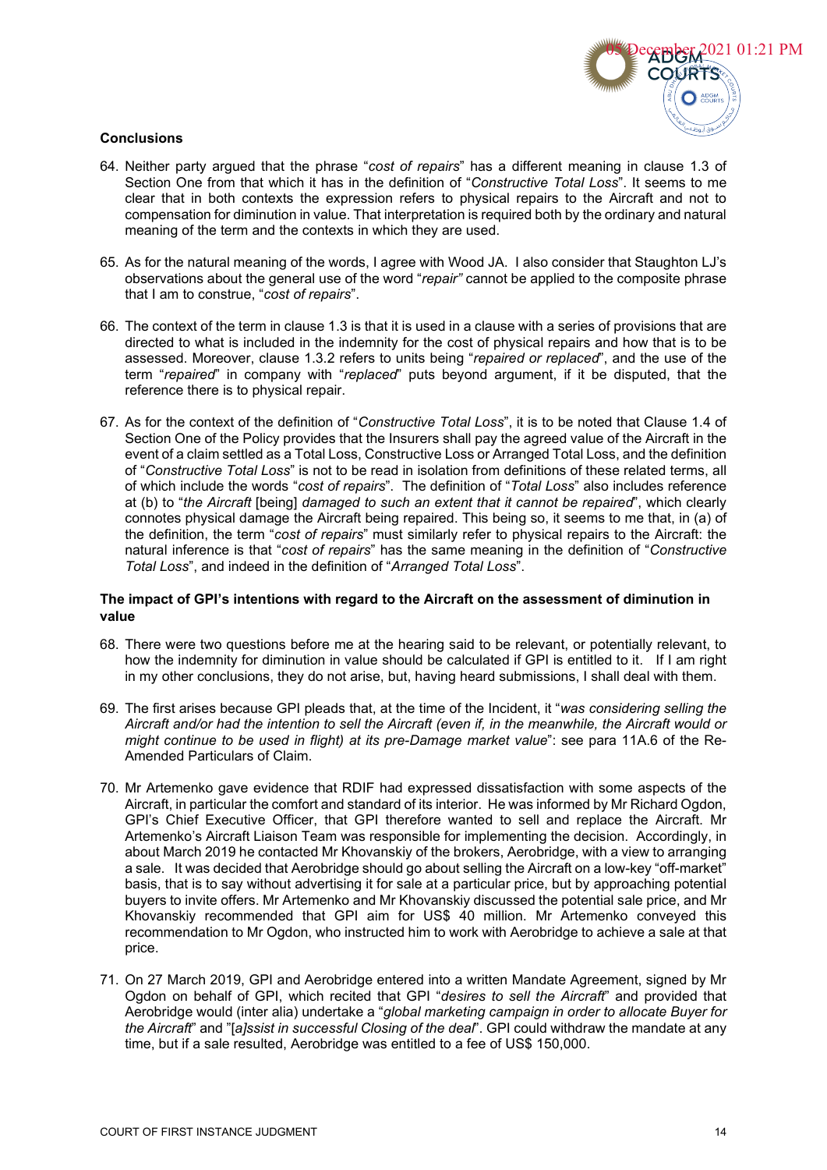

## **Conclusions**

- 64. Neither party argued that the phrase "*cost of repairs*" has a different meaning in clause 1.3 of Section One from that which it has in the definition of "*Constructive Total Loss*". It seems to me clear that in both contexts the expression refers to physical repairs to the Aircraft and not to compensation for diminution in value. That interpretation is required both by the ordinary and natural meaning of the term and the contexts in which they are used.
- 65. As for the natural meaning of the words, I agree with Wood JA. I also consider that Staughton LJ's observations about the general use of the word "*repair"* cannot be applied to the composite phrase that I am to construe, "*cost of repairs*".
- 66. The context of the term in clause 1.3 is that it is used in a clause with a series of provisions that are directed to what is included in the indemnity for the cost of physical repairs and how that is to be assessed. Moreover, clause 1.3.2 refers to units being "*repaired or replaced*", and the use of the term "*repaired*" in company with "*replaced*" puts beyond argument, if it be disputed, that the reference there is to physical repair.
- 67. As for the context of the definition of "*Constructive Total Loss*", it is to be noted that Clause 1.4 of Section One of the Policy provides that the Insurers shall pay the agreed value of the Aircraft in the event of a claim settled as a Total Loss, Constructive Loss or Arranged Total Loss, and the definition of "*Constructive Total Loss*" is not to be read in isolation from definitions of these related terms, all of which include the words "*cost of repairs*". The definition of "*Total Loss*" also includes reference at (b) to "*the Aircraft* [being] *damaged to such an extent that it cannot be repaired*", which clearly connotes physical damage the Aircraft being repaired. This being so, it seems to me that, in (a) of the definition, the term "*cost of repairs*" must similarly refer to physical repairs to the Aircraft: the natural inference is that "*cost of repairs*" has the same meaning in the definition of "*Constructive Total Loss*", and indeed in the definition of "*Arranged Total Loss*".

## **The impact of GPI's intentions with regard to the Aircraft on the assessment of diminution in value**

- 68. There were two questions before me at the hearing said to be relevant, or potentially relevant, to how the indemnity for diminution in value should be calculated if GPI is entitled to it. If I am right in my other conclusions, they do not arise, but, having heard submissions, I shall deal with them.
- 69. The first arises because GPI pleads that, at the time of the Incident, it "*was considering selling the Aircraft and/or had the intention to sell the Aircraft (even if, in the meanwhile, the Aircraft would or might continue to be used in flight) at its pre-Damage market value*": see para 11A.6 of the Re-Amended Particulars of Claim.
- 70. Mr Artemenko gave evidence that RDIF had expressed dissatisfaction with some aspects of the Aircraft, in particular the comfort and standard of its interior. He was informed by Mr Richard Ogdon, GPI's Chief Executive Officer, that GPI therefore wanted to sell and replace the Aircraft. Mr Artemenko's Aircraft Liaison Team was responsible for implementing the decision. Accordingly, in about March 2019 he contacted Mr Khovanskiy of the brokers, Aerobridge, with a view to arranging a sale. It was decided that Aerobridge should go about selling the Aircraft on a low-key "off-market" basis, that is to say without advertising it for sale at a particular price, but by approaching potential buyers to invite offers. Mr Artemenko and Mr Khovanskiy discussed the potential sale price, and Mr Khovanskiy recommended that GPI aim for US\$ 40 million. Mr Artemenko conveyed this recommendation to Mr Ogdon, who instructed him to work with Aerobridge to achieve a sale at that price.
- 71. On 27 March 2019, GPI and Aerobridge entered into a written Mandate Agreement, signed by Mr Ogdon on behalf of GPI, which recited that GPI "*desires to sell the Aircraft*" and provided that Aerobridge would (inter alia) undertake a "*global marketing campaign in order to allocate Buyer for the Aircraft*" and "[*a]ssist in successful Closing of the deal*". GPI could withdraw the mandate at any time, but if a sale resulted, Aerobridge was entitled to a fee of US\$ 150,000.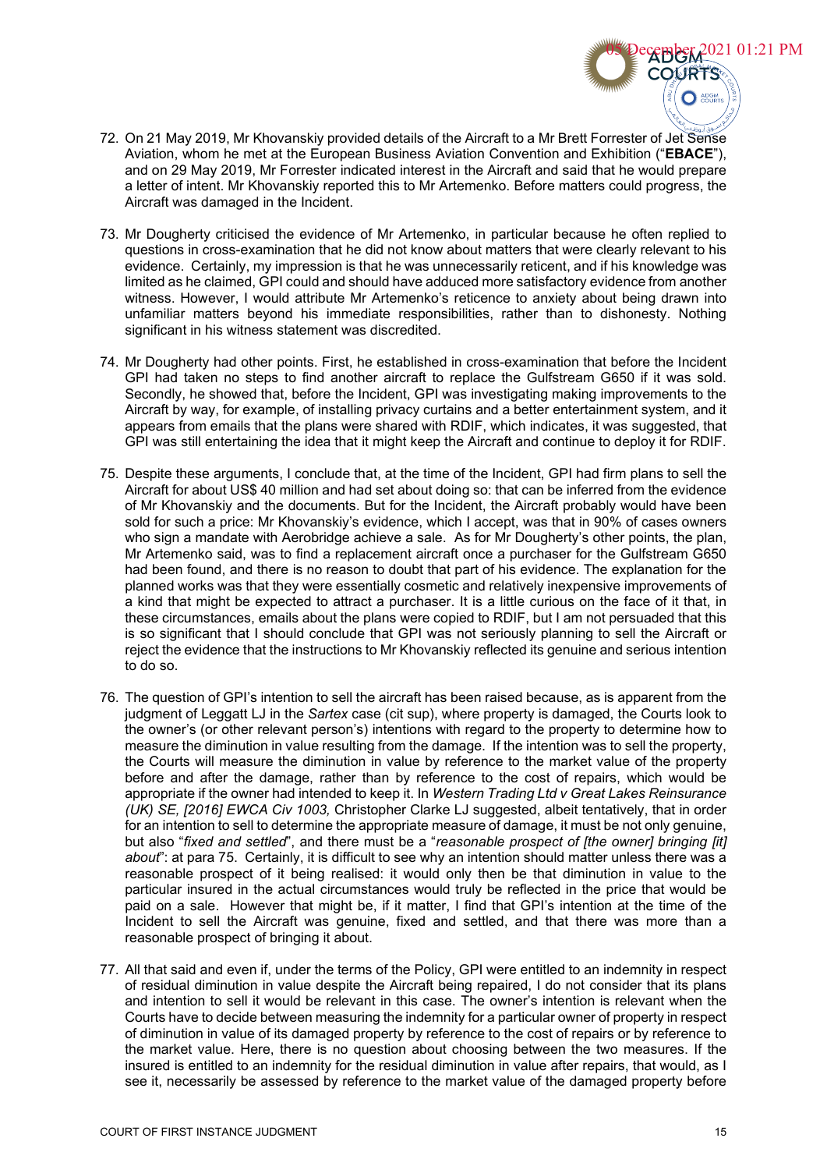- 72. On 21 May 2019, Mr Khovanskiy provided details of the Aircraft to a Mr Brett Forrester of Jet Sense Aviation, whom he met at the European Business Aviation Convention and Exhibition ("**EBACE**"), and on 29 May 2019, Mr Forrester indicated interest in the Aircraft and said that he would prepare a letter of intent. Mr Khovanskiy reported this to Mr Artemenko. Before matters could progress, the Aircraft was damaged in the Incident.
- 73. Mr Dougherty criticised the evidence of Mr Artemenko, in particular because he often replied to questions in cross-examination that he did not know about matters that were clearly relevant to his evidence. Certainly, my impression is that he was unnecessarily reticent, and if his knowledge was limited as he claimed, GPI could and should have adduced more satisfactory evidence from another witness. However, I would attribute Mr Artemenko's reticence to anxiety about being drawn into unfamiliar matters beyond his immediate responsibilities, rather than to dishonesty. Nothing significant in his witness statement was discredited.
- 74. Mr Dougherty had other points. First, he established in cross-examination that before the Incident GPI had taken no steps to find another aircraft to replace the Gulfstream G650 if it was sold. Secondly, he showed that, before the Incident, GPI was investigating making improvements to the Aircraft by way, for example, of installing privacy curtains and a better entertainment system, and it appears from emails that the plans were shared with RDIF, which indicates, it was suggested, that GPI was still entertaining the idea that it might keep the Aircraft and continue to deploy it for RDIF.
- 75. Despite these arguments, I conclude that, at the time of the Incident, GPI had firm plans to sell the Aircraft for about US\$ 40 million and had set about doing so: that can be inferred from the evidence of Mr Khovanskiy and the documents. But for the Incident, the Aircraft probably would have been sold for such a price: Mr Khovanskiy's evidence, which I accept, was that in 90% of cases owners who sign a mandate with Aerobridge achieve a sale. As for Mr Dougherty's other points, the plan, Mr Artemenko said, was to find a replacement aircraft once a purchaser for the Gulfstream G650 had been found, and there is no reason to doubt that part of his evidence. The explanation for the planned works was that they were essentially cosmetic and relatively inexpensive improvements of a kind that might be expected to attract a purchaser. It is a little curious on the face of it that, in these circumstances, emails about the plans were copied to RDIF, but I am not persuaded that this is so significant that I should conclude that GPI was not seriously planning to sell the Aircraft or reject the evidence that the instructions to Mr Khovanskiy reflected its genuine and serious intention to do so.
- 76. The question of GPI's intention to sell the aircraft has been raised because, as is apparent from the judgment of Leggatt LJ in the *Sartex* case (cit sup), where property is damaged, the Courts look to the owner's (or other relevant person's) intentions with regard to the property to determine how to measure the diminution in value resulting from the damage. If the intention was to sell the property, the Courts will measure the diminution in value by reference to the market value of the property before and after the damage, rather than by reference to the cost of repairs, which would be appropriate if the owner had intended to keep it. In *Western Trading Ltd v Great Lakes Reinsurance (UK) SE, [2016] EWCA Civ 1003,* Christopher Clarke LJ suggested, albeit tentatively, that in order for an intention to sell to determine the appropriate measure of damage, it must be not only genuine, but also "*fixed and settled*", and there must be a "*reasonable prospect of [the owner] bringing [it] about*": at para 75. Certainly, it is difficult to see why an intention should matter unless there was a reasonable prospect of it being realised: it would only then be that diminution in value to the particular insured in the actual circumstances would truly be reflected in the price that would be paid on a sale. However that might be, if it matter, I find that GPI's intention at the time of the Incident to sell the Aircraft was genuine, fixed and settled, and that there was more than a reasonable prospect of bringing it about.
- 77. All that said and even if, under the terms of the Policy, GPI were entitled to an indemnity in respect of residual diminution in value despite the Aircraft being repaired, I do not consider that its plans and intention to sell it would be relevant in this case. The owner's intention is relevant when the Courts have to decide between measuring the indemnity for a particular owner of property in respect of diminution in value of its damaged property by reference to the cost of repairs or by reference to the market value. Here, there is no question about choosing between the two measures. If the insured is entitled to an indemnity for the residual diminution in value after repairs, that would, as I see it, necessarily be assessed by reference to the market value of the damaged property before

cember 2021 01:21 PM

**COURTS** 

 $\bigcirc$   $\overset{\text{ADGM}}{\text{COUR}}$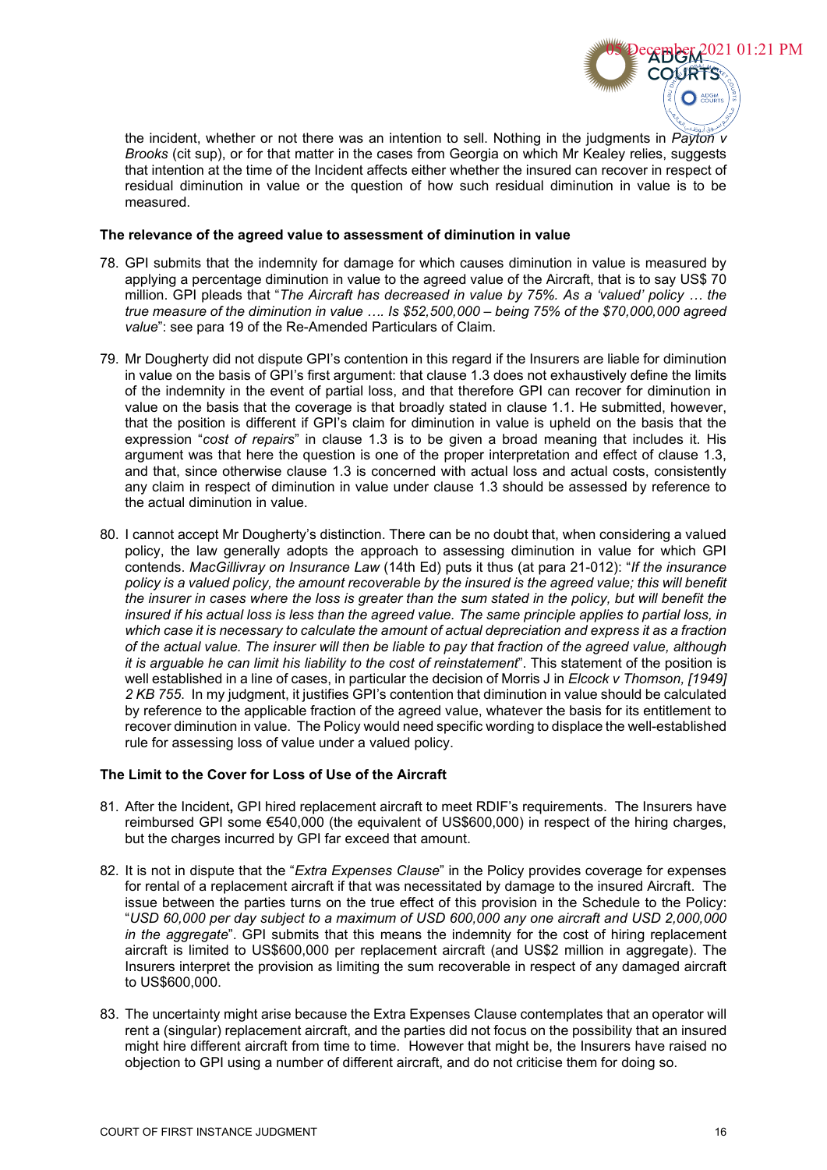

the incident, whether or not there was an intention to sell. Nothing in the judgments in *Payton v Brooks* (cit sup), or for that matter in the cases from Georgia on which Mr Kealey relies, suggests that intention at the time of the Incident affects either whether the insured can recover in respect of residual diminution in value or the question of how such residual diminution in value is to be measured.

#### **The relevance of the agreed value to assessment of diminution in value**

- 78. GPI submits that the indemnity for damage for which causes diminution in value is measured by applying a percentage diminution in value to the agreed value of the Aircraft, that is to say US\$ 70 million. GPI pleads that "*The Aircraft has decreased in value by 75%. As a 'valued' policy … the true measure of the diminution in value …. Is \$52,500,000 – being 75% of the \$70,000,000 agreed value*": see para 19 of the Re-Amended Particulars of Claim.
- 79. Mr Dougherty did not dispute GPI's contention in this regard if the Insurers are liable for diminution in value on the basis of GPI's first argument: that clause 1.3 does not exhaustively define the limits of the indemnity in the event of partial loss, and that therefore GPI can recover for diminution in value on the basis that the coverage is that broadly stated in clause 1.1. He submitted, however, that the position is different if GPI's claim for diminution in value is upheld on the basis that the expression "*cost of repairs*" in clause 1.3 is to be given a broad meaning that includes it. His argument was that here the question is one of the proper interpretation and effect of clause 1.3, and that, since otherwise clause 1.3 is concerned with actual loss and actual costs, consistently any claim in respect of diminution in value under clause 1.3 should be assessed by reference to the actual diminution in value.
- 80. I cannot accept Mr Dougherty's distinction. There can be no doubt that, when considering a valued policy, the law generally adopts the approach to assessing diminution in value for which GPI contends. *MacGillivray on Insurance Law* (14th Ed) puts it thus (at para 21-012): "*If the insurance policy is a valued policy, the amount recoverable by the insured is the agreed value; this will benefit the insurer in cases where the loss is greater than the sum stated in the policy, but will benefit the insured if his actual loss is less than the agreed value. The same principle applies to partial loss, in which case it is necessary to calculate the amount of actual depreciation and express it as a fraction of the actual value. The insurer will then be liable to pay that fraction of the agreed value, although it is arguable he can limit his liability to the cost of reinstatement*". This statement of the position is well established in a line of cases, in particular the decision of Morris J in *Elcock v Thomson, [1949] 2 KB 755*. In my judgment, it justifies GPI's contention that diminution in value should be calculated by reference to the applicable fraction of the agreed value, whatever the basis for its entitlement to recover diminution in value. The Policy would need specific wording to displace the well-established rule for assessing loss of value under a valued policy.

# **The Limit to the Cover for Loss of Use of the Aircraft**

- 81. After the Incident**,** GPI hired replacement aircraft to meet RDIF's requirements. The Insurers have reimbursed GPI some €540,000 (the equivalent of US\$600,000) in respect of the hiring charges, but the charges incurred by GPI far exceed that amount.
- 82. It is not in dispute that the "*Extra Expenses Clause*" in the Policy provides coverage for expenses for rental of a replacement aircraft if that was necessitated by damage to the insured Aircraft. The issue between the parties turns on the true effect of this provision in the Schedule to the Policy: "*USD 60,000 per day subject to a maximum of USD 600,000 any one aircraft and USD 2,000,000 in the aggregate*". GPI submits that this means the indemnity for the cost of hiring replacement aircraft is limited to US\$600,000 per replacement aircraft (and US\$2 million in aggregate). The Insurers interpret the provision as limiting the sum recoverable in respect of any damaged aircraft to US\$600,000.
- 83. The uncertainty might arise because the Extra Expenses Clause contemplates that an operator will rent a (singular) replacement aircraft, and the parties did not focus on the possibility that an insured might hire different aircraft from time to time. However that might be, the Insurers have raised no objection to GPI using a number of different aircraft, and do not criticise them for doing so.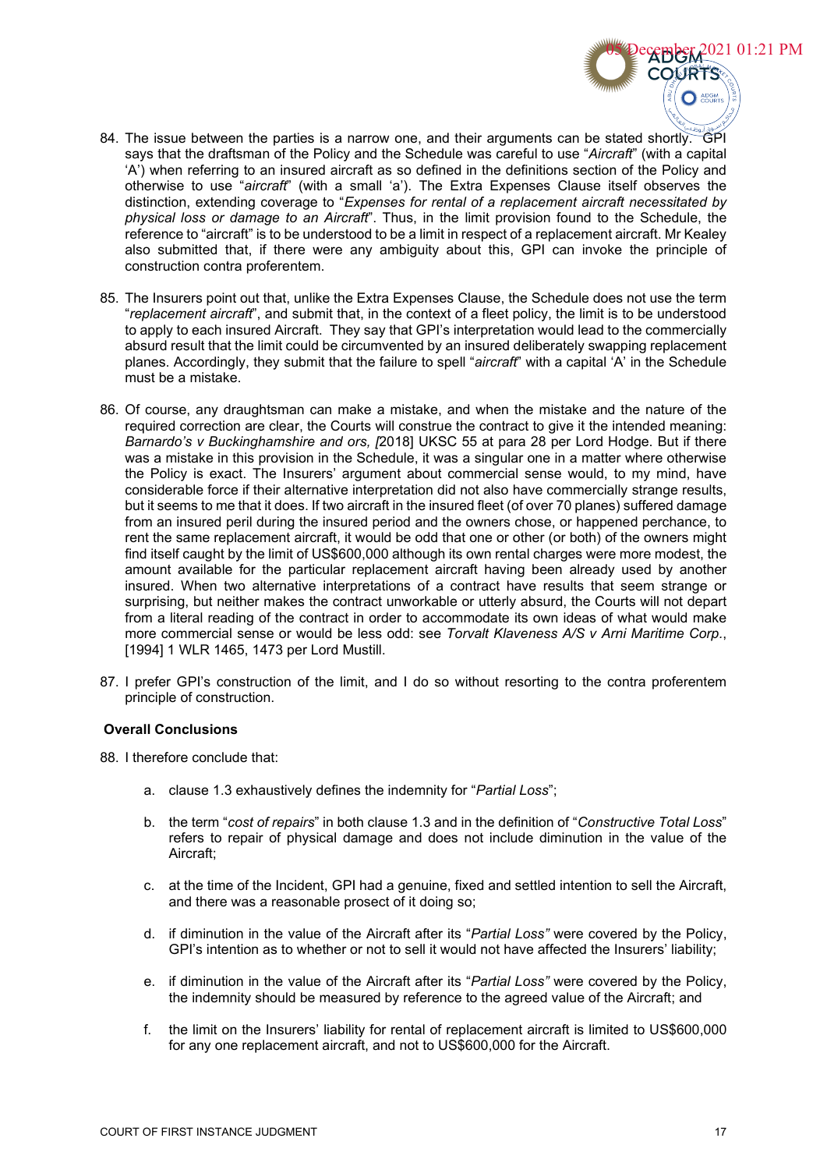- $\bigcirc$  ADGM 84. The issue between the parties is a narrow one, and their arguments can be stated shortly. GPI says that the draftsman of the Policy and the Schedule was careful to use "*Aircraft*" (with a capital 'A') when referring to an insured aircraft as so defined in the definitions section of the Policy and otherwise to use "*aircraft*" (with a small 'a'). The Extra Expenses Clause itself observes the distinction, extending coverage to "*Expenses for rental of a replacement aircraft necessitated by physical loss or damage to an Aircraft*". Thus, in the limit provision found to the Schedule, the reference to "aircraft" is to be understood to be a limit in respect of a replacement aircraft. Mr Kealey also submitted that, if there were any ambiguity about this, GPI can invoke the principle of construction contra proferentem.
- 85. The Insurers point out that, unlike the Extra Expenses Clause, the Schedule does not use the term "*replacement aircraft*", and submit that, in the context of a fleet policy, the limit is to be understood to apply to each insured Aircraft. They say that GPI's interpretation would lead to the commercially absurd result that the limit could be circumvented by an insured deliberately swapping replacement planes. Accordingly, they submit that the failure to spell "*aircraft*" with a capital 'A' in the Schedule must be a mistake.
- 86. Of course, any draughtsman can make a mistake, and when the mistake and the nature of the required correction are clear, the Courts will construe the contract to give it the intended meaning: *Barnardo's v Buckinghamshire and ors, [*2018] UKSC 55 at para 28 per Lord Hodge. But if there was a mistake in this provision in the Schedule, it was a singular one in a matter where otherwise the Policy is exact. The Insurers' argument about commercial sense would, to my mind, have considerable force if their alternative interpretation did not also have commercially strange results, but it seems to me that it does. If two aircraft in the insured fleet (of over 70 planes) suffered damage from an insured peril during the insured period and the owners chose, or happened perchance, to rent the same replacement aircraft, it would be odd that one or other (or both) of the owners might find itself caught by the limit of US\$600,000 although its own rental charges were more modest, the amount available for the particular replacement aircraft having been already used by another insured. When two alternative interpretations of a contract have results that seem strange or surprising, but neither makes the contract unworkable or utterly absurd, the Courts will not depart from a literal reading of the contract in order to accommodate its own ideas of what would make more commercial sense or would be less odd: see *Torvalt Klaveness A/S v Arni Maritime Corp.*, [1994] 1 WLR 1465, 1473 per Lord Mustill.
- 87. I prefer GPI's construction of the limit, and I do so without resorting to the contra proferentem principle of construction.

#### **Overall Conclusions**

- 88. I therefore conclude that:
	- a. clause 1.3 exhaustively defines the indemnity for "*Partial Loss*";
	- b. the term "*cost of repairs*" in both clause 1.3 and in the definition of "*Constructive Total Loss*" refers to repair of physical damage and does not include diminution in the value of the Aircraft;
	- c. at the time of the Incident, GPI had a genuine, fixed and settled intention to sell the Aircraft, and there was a reasonable prosect of it doing so;
	- d. if diminution in the value of the Aircraft after its "*Partial Loss"* were covered by the Policy, GPI's intention as to whether or not to sell it would not have affected the Insurers' liability;
	- e. if diminution in the value of the Aircraft after its "*Partial Loss"* were covered by the Policy, the indemnity should be measured by reference to the agreed value of the Aircraft; and
	- f. the limit on the Insurers' liability for rental of replacement aircraft is limited to US\$600,000 for any one replacement aircraft, and not to US\$600,000 for the Aircraft.

**EPPER 2021 01:21 PM** 

**OURTS**